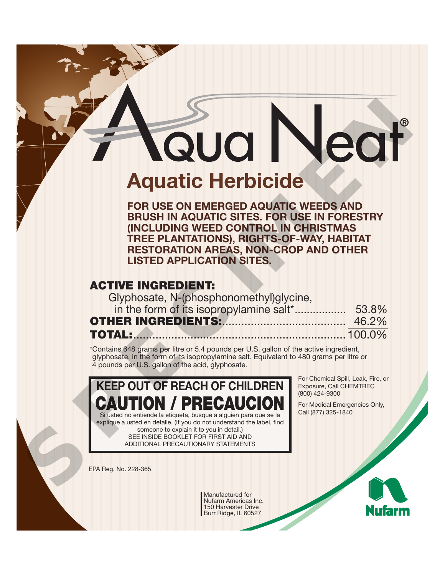# **Aquatic Herbicide** Aquatic Herbicide<br>
FOR USE ON EXAMPLE STRIKE AND ENGINEER AND FRUSHIN AQUATIC STRIS. FOR USE IN FORESTRY<br>
INCLUDING WEED A ROLL ON THE HAND AND SURVEY AND STRIKE THE PLANTATIONS, RIGHTS OF PAIX, HABITAT<br>
ISTED APPLICATION

**FOR USE ON EMERGED AQUATIC WEEDS AND BRUSH IN AQUATIC SITES. FOR USE IN FORESTRY (INCLUDING WEED CONTROL IN CHRISTMAS TREE PLANTATIONS), RIGHTS-OF-WAY, HABITAT RESTORATION AREAS, NON-CROP AND OTHER LISTED APPLICATION SITES.** 

# **ACTIVE INGREDIENT:**

Glyphosate, N-(phosphonomethyl)glycine, in the form of its isopropylamine salt\*................. 53.8% **OTHER INGREDIENTS:**....................................... 46.2% **TOTAL:**................................................................... 100.0%

\*Contains 648 grams per litre or 5.4 pounds per U.S. gallon of the active ingredient, glyphosate, in the form of its isopropylamine salt. Equivalent to 480 grams per litre or 4 pounds per U.S. gallon of the acid, glyphosate.

# **KEEP OUT OF REACH OF CHILDREN ION / PRECAUCI** Si usted no entiende la etiqueta, busque a alguien para que se la

explique a usted en detalle. (If you do not understand the label, find someone to explain it to you in detail.) SEE INSIDE BOOKLET FOR FIRST AID AND ADDITIONAL PRECAUTIONARY STATEMENTS

For Chemical Spill, Leak, Fire, or Exposure, Call CHEMTREC (800) 424-9300

For Medical Emergencies Only, Call (877) 325-1840

EPA Reg. No. 228-365

Manufactured for Nufarm Americas Inc. 150 Harvester Drive Burr Ridge, IL 60527

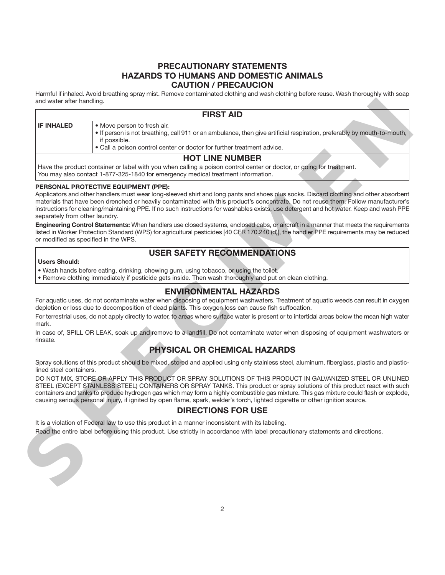# **PRECAUTIONARY STATEMENTS HAZARDS TO HUMANS AND DOMESTIC ANIMALS CAUTION / PRECAUCION**

Harmful if inhaled. Avoid breathing spray mist. Remove contaminated clothing and wash clothing before reuse. Wash thoroughly with soap and water after handling.

|                                | <b>FIRST AID</b>                                                                                                                                                                                                                                                                                                                                                                                                                                                                                                  |
|--------------------------------|-------------------------------------------------------------------------------------------------------------------------------------------------------------------------------------------------------------------------------------------------------------------------------------------------------------------------------------------------------------------------------------------------------------------------------------------------------------------------------------------------------------------|
| <b>IF INHALED</b>              | · Move person to fresh air.<br>. If person is not breathing, call 911 or an ambulance, then give artificial respiration, preferably by mouth-to-mouth,<br>if possible.<br>• Call a poison control center or doctor for further treatment advice.                                                                                                                                                                                                                                                                  |
|                                | <b>HOT LINE NUMBER</b>                                                                                                                                                                                                                                                                                                                                                                                                                                                                                            |
|                                | Have the product container or label with you when calling a poison control center or doctor, or going for treatment.<br>You may also contact 1-877-325-1840 for emergency medical treatment information.                                                                                                                                                                                                                                                                                                          |
| separately from other laundry. | PERSONAL PROTECTIVE EQUIPMENT (PPE):<br>Applicators and other handlers must wear long-sleeved shirt and long pants and shoes plus socks. Discard clothing and other absorbent<br>materials that have been drenched or heavily contaminated with this product's concentrate. Do not reuse them. Follow manufacturer's<br>instructions for cleaning/maintaining PPE. If no such instructions for washables exists, use detergent and hot water. Keep and wash PPE                                                   |
|                                | Engineering Control Statements: When handlers use closed systems, enclosed cabs, or aircraft in a manner that meets the requirements<br>listed in Worker Protection Standard (WPS) for agricultural pesticides [40 CFR 170.240 (d)], the handler PPE requirements may be reduced<br>or modified as specified in the WPS.                                                                                                                                                                                          |
|                                | <b>USER SAFETY RECOMMENDATIONS</b>                                                                                                                                                                                                                                                                                                                                                                                                                                                                                |
| <b>Users Should:</b>           |                                                                                                                                                                                                                                                                                                                                                                                                                                                                                                                   |
|                                | . Wash hands before eating, drinking, chewing gum, using tobacco, or using the toilet.<br>. Remove clothing immediately if pesticide gets inside. Then wash thoroughly and put on clean clothing.                                                                                                                                                                                                                                                                                                                 |
|                                | <b>ENVIRONMENTAL HAZARDS</b>                                                                                                                                                                                                                                                                                                                                                                                                                                                                                      |
|                                | For aquatic uses, do not contaminate water when disposing of equipment washwaters. Treatment of aquatic weeds can result in oxygen<br>depletion or loss due to decomposition of dead plants. This oxygen loss can cause fish suffocation.                                                                                                                                                                                                                                                                         |
| mark.                          | For terrestrial uses, do not apply directly to water, to areas where surface water is present or to intertidal areas below the mean high water                                                                                                                                                                                                                                                                                                                                                                    |
| rinsate.                       | In case of, SPILL OR LEAK, soak up and remove to a landfill. Do not contaminate water when disposing of equipment washwaters or                                                                                                                                                                                                                                                                                                                                                                                   |
|                                | <b>PHYSICAL OR CHEMICAL HAZARDS</b>                                                                                                                                                                                                                                                                                                                                                                                                                                                                               |
| lined steel containers.        | Spray solutions of this product should be mixed, stored and applied using only stainless steel, aluminum, fiberglass, plastic and plastic-                                                                                                                                                                                                                                                                                                                                                                        |
|                                | DO NOT MIX, STORE OR APPLY THIS PRODUCT OR SPRAY SOLUTIONS OF THIS PRODUCT IN GALVANIZED STEEL OR UNLINED<br>STEEL (EXCEPT STAINLESS STEEL) CONTAINERS OR SPRAY TANKS. This product or spray solutions of this product react with such<br>containers and tanks to produce hydrogen gas which may form a highly combustible gas mixture. This gas mixture could flash or explode,<br>causing serious personal injury, if ignited by open flame, spark, welder's torch, lighted cigarette or other ignition source. |
|                                | <b>DIRECTIONS FOR USE</b>                                                                                                                                                                                                                                                                                                                                                                                                                                                                                         |
|                                | It is a violation of Federal law to use this product in a manner inconsistent with its labeling.                                                                                                                                                                                                                                                                                                                                                                                                                  |
|                                | Read the entire label before using this product. Use strictly in accordance with label precautionary statements and directions.                                                                                                                                                                                                                                                                                                                                                                                   |
|                                |                                                                                                                                                                                                                                                                                                                                                                                                                                                                                                                   |

#### **PERSONAL PROTECTIVE EQUIPMENT (PPE):**

# **USER SAFETY RECOMMENDATIONS**

#### **Users Should:**

- Wash hands before eating, drinking, chewing gum, using tobacco, or using the toilet.
- Remove clothing immediately if pesticide gets inside. Then wash thoroughly and put on clean clothing.

# **ENVIRONMENTAL HAZARDS**

# **PHYSICAL OR CHEMICAL HAZARDS**

# **DIRECTIONS FOR USE**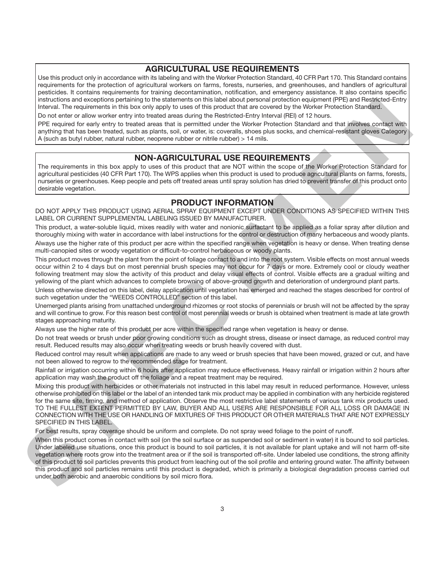# **AGRICULTURAL USE REQUIREMENTS**

Use this product only in accordance with its labeling and with the Worker Protection Standard, 40 CFR Part 170. This Standard contains requirements for the protection of agricultural workers on farms, forests, nurseries, and greenhouses, and handlers of agricultural pesticides. It contains requirements for training decontamination, notification, and emergency assistance. It also contains specific instructions and exceptions pertaining to the statements on this label about personal protection equipment (PPE) and Restricted-Entry Interval. The requirements in this box only apply to uses of this product that are covered by the Worker Protection Standard.

Do not enter or allow worker entry into treated areas during the Restricted-Entry Interval (REI) of 12 hours.

PPE required for early entry to treated areas that is permitted under the Worker Protection Standard and that involves contact with anything that has been treated, such as plants, soil, or water, is: coveralls, shoes plus socks, and chemical-resistant gloves Category A (such as butyl rubber, natural rubber, neoprene rubber or nitrile rubber) > 14 mils.

# **NON-AGRICULTURAL USE REQUIREMENTS**

The requirements in this box apply to uses of this product that are NOT within the scope of the Worker Protection Standard for agricultural pesticides (40 CFR Part 170). The WPS applies when this product is used to produce agricultural plants on farms, forests, nurseries or greenhouses. Keep people and pets off treated areas until spray solution has dried to prevent transfer of this product onto desirable vegetation.

# **PRODUCT INFORMATION**

DO NOT APPLY THIS PRODUCT USING AERIAL SPRAY EQUIPMENT EXCEPT UNDER CONDITIONS AS SPECIFIED WITHIN THIS LABEL OR CURRENT SUPPLEMENTAL LABELING ISSUED BY MANUFACTURER.

This product, a water-soluble liquid, mixes readily with water and nonionic surfactant to be applied as a foliar spray after dilution and thoroughly mixing with water in accordance with label instructions for the control or destruction of many herbaceous and woody plants. Always use the higher rate of this product per acre within the specified range when vegetation is heavy or dense. When treating dense multi-canopied sites or woody vegetation or difficult-to-control herbaceous or woody plants.

This product moves through the plant from the point of foliage contact to and into the root system. Visible effects on most annual weeds occur within 2 to 4 days but on most perennial brush species may not occur for 7 days or more. Extremely cool or cloudy weather following treatment may slow the activity of this product and delay visual effects of control. Visible effects are a gradual wilting and yellowing of the plant which advances to complete browning of above-ground growth and deterioration of underground plant parts.

Unless otherwise directed on this label, delay application until vegetation has emerged and reached the stages described for control of such vegetation under the "WEEDS CONTROLLED" section of this label.

Unemerged plants arising from unattached underground rhizomes or root stocks of perennials or brush will not be affected by the spray and will continue to grow. For this reason best control of most perennial weeds or brush is obtained when treatment is made at late growth stages approaching maturity.

Always use the higher rate of this product per acre within the specified range when vegetation is heavy or dense.

Do not treat weeds or brush under poor growing conditions such as drought stress, disease or insect damage, as reduced control may result. Reduced results may also occur when treating weeds or brush heavily covered with dust.

Reduced control may result when applications are made to any weed or brush species that have been mowed, grazed or cut, and have not been allowed to regrow to the recommended stage for treatment.

Rainfall or irrigation occurring within 6 hours after application may reduce effectiveness. Heavy rainfall or irrigation within 2 hours after application may wash the product off the foliage and a repeat treatment may be required.

Mixing this product with herbicides or other materials not instructed in this label may result in reduced performance. However, unless otherwise prohibited on this label or the label of an intended tank mix product may be applied in combination with any herbicide registered for the same site, timing, and method of application. Observe the most restrictive label statements of various tank mix products used. TO THE FULLEST EXTENT PERMITTED BY LAW, BUYER AND ALL USERS ARE RESPONSIBLE FOR ALL LOSS OR DAMAGE IN CONNECTION WITH THE USE OR HANDLING OF MIXTURES OF THIS PRODUCT OR OTHER MATERIALS THAT ARE NOT EXPRESSLY SPECIFIED IN THIS LABEL. The<br>minimizer and consense participal the statement in the bit show that the minimizer and prevents are been allowed to the statement of the statement of the statement of the statement of the statement of the statement of

For best results, spray coverage should be uniform and complete. Do not spray weed foliage to the point of runoff.

When this product comes in contact with soil (on the soil surface or as suspended soil or sediment in water) it is bound to soil particles. Under labeled use situations, once this product is bound to soil particles, it is not available for plant uptake and will not harm off-site vegetation where roots grow into the treatment area or if the soil is transported off-site. Under labeled use conditions, the strong affinity of this product to soil particles prevents this product from leaching out of the soil profile and entering ground water. The affinity between this product and soil particles remains until this product is degraded, which is primarily a biological degradation process carried out under both aerobic and anaerobic conditions by soil micro flora.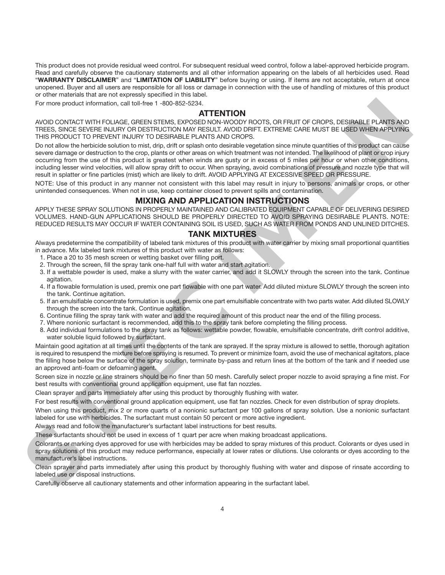This product does not provide residual weed control. For subsequent residual weed control, follow a label-approved herbicide program. Read and carefully observe the cautionary statements and all other information appearing on the labels of all herbicides used. Read "**WARRANTY DISCLAIMER**" and "**LIMITATION OF LIABILITY**" before buying or using. If items are not acceptable, return at once unopened. Buyer and all users are responsible for all loss or damage in connection with the use of handling of mixtures of this product or other materials that are not expressly specified in this label.

For more product information, call toll-free 1 -800-852-5234.

#### **ATTENTION**

AVOID CONTACT WITH FOLIAGE, GREEN STEMS, EXPOSED NON-WOODY ROOTS, OR FRUIT OF CROPS, DESIRABLE PLANTS AND TREES, SINCE SEVERE INJURY OR DESTRUCTION MAY RESULT. AVOID DRIFT. EXTREME CARE MUST BE USED WHEN APPLYING THIS PRODUCT TO PREVENT INJURY TO DESIRABLE PLANTS AND CROPS.

Do not allow the herbicide solution to mist, drip, drift or splash onto desirable vegetation since minute quantities of this product can cause severe damage or destruction to the crop, plants or other areas on which treatment was not intended. The likelihood of plant or crop injury occurring from the use of this product is greatest when winds are gusty or in excess of 5 miles per hour or when other conditions, including lesser wind velocities, will allow spray drift to occur. When spraying, avoid combinations of pressure and nozzle type that will result in splatter or fine particles (mist) which are likely to drift. AVOID APPLYING AT EXCESSIVE SPEED OR PRESSURE. For more penaltr internation, can call and is a state of **ATTENTION**<br>
ANTENTION comparisons and the state of the state of the state of the state of the state of the state of the state of the state of the state of the stat

NOTE: Use of this product in any manner not consistent with this label may result in injury to persons, animals or crops, or other unintended consequences. When not in use, keep container closed to prevent spills and contamination.

#### **MIXING AND APPLICATION INSTRUCTIONS**

APPLY THESE SPRAY SOLUTIONS IN PROPERLY MAINTAINED AND CALIBRATED EQUIPMENT CAPABLE OF DELIVERING DESIRED VOLUMES. HAND-GUN APPLICATIONS SHOULD BE PROPERLY DIRECTED TO AVOID SPRAYING DESIRABLE PLANTS. NOTE: REDUCED RESULTS MAY OCCUR IF WATER CONTAINING SOIL IS USED, SUCH AS WATER FROM PONDS AND UNLINED DITCHES.

#### **TANK MIXTURES**

Always predetermine the compatibility of labeled tank mixtures of this product with water carrier by mixing small proportional quantities in advance. Mix labeled tank mixtures of this product with water as follows:

- 1. Place a 20 to 35 mesh screen or wetting basket over filling port.
- 2. Through the screen, fill the spray tank one-half full with water and start agitation.
- 3. If a wettable powder is used, make a slurry with the water carrier, and add it SLOWLY through the screen into the tank. Continue agitation.
- 4. If a flowable formulation is used, premix one part flowable with one part water. Add diluted mixture SLOWLY through the screen into the tank. Continue agitation.
- 5. If an emulsifiable concentrate formulation is used, premix one part emulsifiable concentrate with two parts water. Add diluted SLOWLY through the screen into the tank. Continue agitation.
- 6. Continue filling the spray tank with water and add the required amount of this product near the end of the filling process.
- 7. Where nonionic surfactant is recommended, add this to the spray tank before completing the filling process.
- 8. Add individual formulations to the spray tank as follows: wettable powder, flowable, emulsifiable concentrate, drift control additive, water soluble liquid followed by surfactant.

Maintain good agitation at all times until the contents of the tank are sprayed. If the spray mixture is allowed to settle, thorough agitation is required to resuspend the mixture before spraying is resumed. To prevent or minimize foam, avoid the use of mechanical agitators, place the filling hose below the surface of the spray solution, terminate by-pass and return lines at the bottom of the tank and if needed use an approved anti-foam or defoaming agent.

Screen size in nozzle or line strainers should be no finer than 50 mesh. Carefully select proper nozzle to avoid spraying a fine mist. For best results with conventional ground application equipment, use flat fan nozzles.

Clean sprayer and parts immediately after using this product by thoroughly flushing with water.

For best results with conventional ground application equipment, use flat fan nozzles. Check for even distribution of spray droplets.

When using this product, mix 2 or more quarts of a nonionic surfactant per 100 gallons of spray solution. Use a nonionic surfactant labeled for use with herbicides. The surfactant must contain 50 percent or more active ingredient.

Always read and follow the manufacturer's surfactant label instructions for best results.

These surfactants should not be used in excess of 1 quart per acre when making broadcast applications.

Colorants or marking dyes approved for use with herbicides may be added to spray mixtures of this product. Colorants or dyes used in spray solutions of this product may reduce performance, especially at lower rates or dilutions. Use colorants or dyes according to the manufacturer's label instructions.

Clean sprayer and parts immediately after using this product by thoroughly flushing with water and dispose of rinsate according to labeled use or disposal instructions.

Carefully observe all cautionary statements and other information appearing in the surfactant label.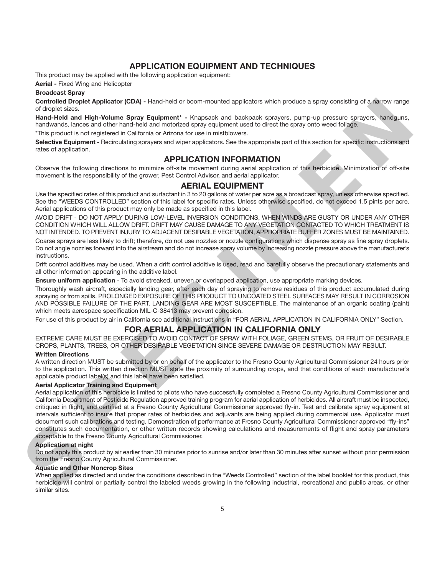# **APPLICATION EQUIPMENT AND TECHNIQUES**

This product may be applied with the following application equipment:

**Aerial -** Fixed Wing and Helicopter

#### **Broadcast Spray**

**Controlled Droplet Applicator (CDA) -** Hand-held or boom-mounted applicators which produce a spray consisting of a narrow range of droplet sizes.

**Hand-Held and High-Volume Spray Equipment\* -** Knapsack and backpack sprayers, pump-up pressure sprayers, handguns, handwands, lances and other hand-held and motorized spray equipment used to direct the spray onto weed foliage.

\*This product is not registered in California or Arizona for use in mistblowers.

**Selective Equipment -** Recirculating sprayers and wiper applicators. See the appropriate part of this section for specific instructions and rates of application.

# **APPLICATION INFORMATION**

Observe the following directions to minimize off-site movement during aerial application of this herbicide. Minimization of off-site movement is the responsibility of the grower, Pest Control Advisor, and aerial applicator.

# **AERIAL EQUIPMENT**

Use the specified rates of this product and surfactant in 3 to 20 gallons of water per acre as a broadcast spray, unless otherwise specified. See the "WEEDS CONTROLLED" section of this label for specific rates. Unless otherwise specified, do not exceed 1.5 pints per acre. Aerial applications of this product may only be made as specified in this label.

AVOID DRIFT - DO NOT APPLY DURING LOW-LEVEL INVERSION CONDITIONS, WHEN WINDS ARE GUSTY OR UNDER ANY OTHER CONDITION WHICH WILL ALLOW DRIFT. DRIFT MAY CAUSE DAMAGE TO ANY VEGETATION CONTACTED TO WHICH TREATMENT IS NOT INTENDED. TO PREVENT INJURY TO ADJACENT DESIRABLE VEGETATION, APPROPRIATE BUFFER ZONES MUST BE MAINTAINED.

Coarse sprays are less likely to drift; therefore, do not use nozzles or nozzle configurations which dispense spray as fine spray droplets. Do not angle nozzles forward into the airstream and do not increase spray volume by increasing nozzle pressure above the manufacturer's instructions.

Drift control additives may be used. When a drift control additive is used, read and carefully observe the precautionary statements and all other information appearing in the additive label.

**Ensure uniform application** - To avoid streaked, uneven or overlapped application, use appropriate marking devices.

Thoroughly wash aircraft, especially landing gear, after each day of spraying to remove residues of this product accumulated during spraying or from spills. PROLONGED EXPOSURE OF THIS PRODUCT TO UNCOATED STEEL SURFACES MAY RESULT IN CORROSION AND POSSIBLE FAILURE OF THE PART. LANDING GEAR ARE MOST SUSCEPTIBLE. The maintenance of an organic coating (paint) which meets aerospace specification MIL-C-38413 may prevent corrosion.

For use of this product by air in California see additional instructions in "FOR AERIAL APPLICATION IN CALIFORNIA ONLY" Section.

# **FOR AERIAL APPLICATION IN CALIFORNIA ONLY**

EXTREME CARE MUST BE EXERCISED TO AVOID CONTACT OF SPRAY WITH FOLIAGE, GREEN STEMS, OR FRUIT OF DESIRABLE CROPS, PLANTS, TREES, OR OTHER DESIRABLE VEGETATION SINCE SEVERE DAMAGE OR DESTRUCTION MAY RESULT.

#### **Written Directions**

A written direction MUST be submitted by or on behalf of the applicator to the Fresno County Agricultural Commissioner 24 hours prior to the application. This written direction MUST state the proximity of surrounding crops, and that conditions of each manufacturer's applicable product label(s) and this label have been satisfied.

#### **Aerial Applicator Training and Equipment**

Aerial application of this herbicide is limited to pilots who have successfully completed a Fresno County Agricultural Commissioner and California Department of Pesticide Regulation approved training program for aerial application of herbicides. All aircraft must be inspected, critiqued in flight, and certified at a Fresno County Agricultural Commissioner approved fly-in. Test and calibrate spray equipment at intervals sufficient to insure that proper rates of herbicides and adjuvants are being applied during commercial use. Applicator must document such calibrations and testing. Demonstration of performance at Fresno County Agricultural Commissioner approved "fly-ins" constitutes such documentation, or other written records showing calculations and measurements of flight and spray parameters acceptable to the Fresno County Agricultural Commissioner. Controlled Dependent Application (160)-11 michales of boost-noting and the specified particle is a specified at the specified of the specified of the specified of the specified of the specified of the specified of the spec

#### **Application at night**

Do not apply this product by air earlier than 30 minutes prior to sunrise and/or later than 30 minutes after sunset without prior permission from the Fresno County Agricultural Commissioner.

#### **Aquatic and Other Noncrop Sites**

When applied as directed and under the conditions described in the "Weeds Controlled" section of the label booklet for this product, this herbicide will control or partially control the labeled weeds growing in the following industrial, recreational and public areas, or other similar sites.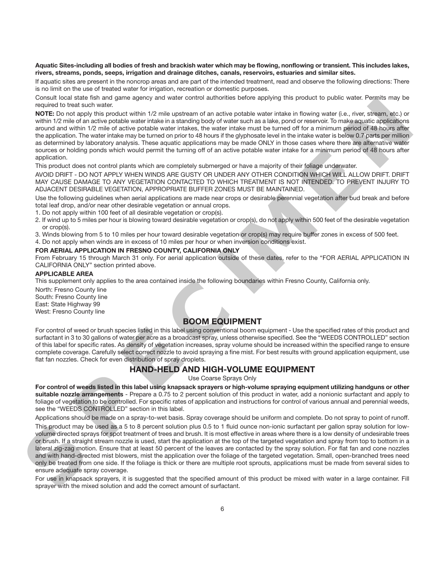#### **Aquatic Sites-including all bodies of fresh and brackish water which may be flowing, nonflowing or transient. This includes lakes, rivers, streams, ponds, seeps, irrigation and drainage ditches, canals, reservoirs, estuaries and similar sites.**

If aquatic sites are present in the noncrop areas and are part of the intended treatment, read and observe the following directions: There is no limit on the use of treated water for irrigation, recreation or domestic purposes.

Consult local state fish and game agency and water control authorities before applying this product to public water. Permits may be required to treat such water.

**NOTE:** Do not apply this product within 1/2 mile upstream of an active potable water intake in flowing water (i.e., river, stream, etc.) or within 1/2 mile of an active potable water intake in a standing body of water such as a lake, pond or reservoir. To make aquatic applications around and within 1/2 mile of active potable water intakes, the water intake must be turned off for a minimum period of 48 hours after the application. The water intake may be turned on prior to 48 hours if the glyphosate level in the intake water is below 0.7 parts per million as determined by laboratory analysis. These aquatic applications may be made ONLY in those cases where there are alternative water sources or holding ponds which would permit the turning off of an active potable water intake for a minimum period of 48 hours after application. Consulted and the method particle and resolved and the specific and the specific and the specific and the specific and the specific and the specific and the specific and the specific and the specific and the specific and t

This product does not control plants which are completely submerged or have a majority of their foliage underwater.

AVOID DRIFT - DO NOT APPLY WHEN WINDS ARE GUSTY OR UNDER ANY OTHER CONDITION WHICH WILL ALLOW DRIFT. DRIFT MAY CAUSE DAMAGE TO ANY VEGETATION CONTACTED TO WHICH TREATMENT IS NOT INTENDED. TO PREVENT INJURY TO ADJACENT DESIRABLE VEGETATION, APPROPRIATE BUFFER ZONES MUST BE MAINTAINED.

Use the following guidelines when aerial applications are made near crops or desirable perennial vegetation after bud break and before total leaf drop, and/or near other desirable vegetation or annual crops.

1. Do not apply within 100 feet of all desirable vegetation or crop(s).

2. If wind up to 5 miles per hour is blowing toward desirable vegetation or crop(s), do not apply within 500 feet of the desirable vegetation or crop(s).

3. Winds blowing from 5 to 10 miles per hour toward desirable vegetation or crop(s) may require buffer zones in excess of 500 feet.

4. Do not apply when winds are in excess of 10 miles per hour or when inversion conditions exist.

#### **FOR AERIAL APPLICATION IN FRESNO COUNTY, CALIFORNIA ONLY**

From February 15 through March 31 only. For aerial application outside of these dates, refer to the "FOR AERIAL APPLICATION IN CALIFORNIA ONLY" section printed above.

#### **APPLICABLE AREA**

This supplement only applies to the area contained inside the following boundaries within Fresno County, California only.

North: Fresno County line South: Fresno County line East: State Highway 99 West: Fresno County line

#### **BOOM EQUIPMENT**

For control of weed or brush species listed in this label using conventional boom equipment - Use the specified rates of this product and surfactant in 3 to 30 gallons of water per acre as a broadcast spray, unless otherwise specified. See the "WEEDS CONTROLLED" section of this label for specific rates. As density of vegetation increases, spray volume should be increased within the specified range to ensure complete coverage. Carefully select correct nozzle to avoid spraying a fine mist. For best results with ground application equipment, use flat fan nozzles. Check for even distribution of spray droplets.

# **HAND-HELD AND HIGH-VOLUME EQUIPMENT**

Use Coarse Sprays Only

**For control of weeds listed in this label using knapsack sprayers or high-volume spraying equipment utilizing handguns or other suitable nozzle arrangements** - Prepare a 0.75 to 2 percent solution of this product in water, add a nonionic surfactant and apply to foliage of vegetation to be controlled. For specific rates of application and instructions for control of various annual and perennial weeds, see the "WEEDS CONTROLLED" section in this label.

Applications should be made on a spray-to-wet basis. Spray coverage should be uniform and complete. Do not spray to point of runoff. This product may be used as a 5 to 8 percent solution plus 0.5 to 1 fluid ounce non-ionic surfactant per gallon spray solution for lowvolume directed sprays for spot treatment of trees and brush. It is most effective in areas where there is a low density of undesirable trees or brush. If a straight stream nozzle is used, start the application at the top of the targeted vegetation and spray from top to bottom in a lateral zig-zag motion. Ensure that at least 50 percent of the leaves are contacted by the spray solution. For flat fan and cone nozzles

and with hand-directed mist blowers, mist the application over the foliage of the targeted vegetation. Small, open-branched trees need only be treated from one side. If the foliage is thick or there are multiple root sprouts, applications must be made from several sides to ensure adequate spray coverage.

For use in knapsack sprayers, it is suggested that the specified amount of this product be mixed with water in a large container. Fill sprayer with the mixed solution and add the correct amount of surfactant.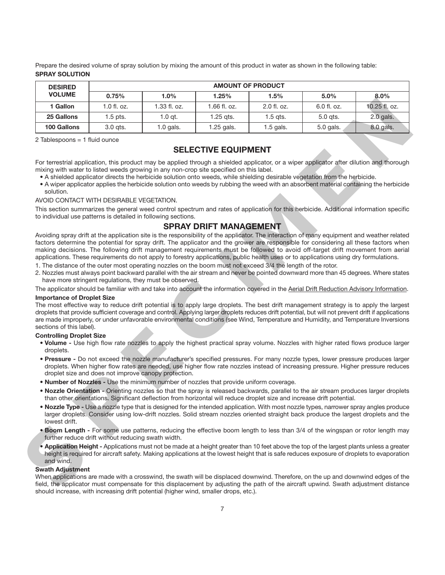Prepare the desired volume of spray solution by mixing the amount of this product in water as shown in the following table: **SPRAY SOLUTION**

| <b>DESIRED</b>                                                                                   | <b>AMOUNT OF PRODUCT</b>                             |                                                                                         |                               |                                                                                                                                                                                                                                                                                                                                                                                                                                                                                                                                                                                                                                                                                                                                                                                                                       |             |               |  |
|--------------------------------------------------------------------------------------------------|------------------------------------------------------|-----------------------------------------------------------------------------------------|-------------------------------|-----------------------------------------------------------------------------------------------------------------------------------------------------------------------------------------------------------------------------------------------------------------------------------------------------------------------------------------------------------------------------------------------------------------------------------------------------------------------------------------------------------------------------------------------------------------------------------------------------------------------------------------------------------------------------------------------------------------------------------------------------------------------------------------------------------------------|-------------|---------------|--|
| <b>VOLUME</b>                                                                                    | 0.75%                                                | 1.0%                                                                                    | 1.25%                         | 1.5%                                                                                                                                                                                                                                                                                                                                                                                                                                                                                                                                                                                                                                                                                                                                                                                                                  | 5.0%        | 8.0%          |  |
| 1 Gallon                                                                                         | 1.0 fl. oz.                                          | 1.33 fl. oz.                                                                            | 1.66 fl. oz.                  | 2.0 fl. oz.                                                                                                                                                                                                                                                                                                                                                                                                                                                                                                                                                                                                                                                                                                                                                                                                           | 6.0 fl. oz. | 10.25 fl. oz. |  |
| 25 Gallons                                                                                       | 1.5 pts.                                             | $1.0$ qt.                                                                               | $1.25$ qts.                   | $1.5$ qts.                                                                                                                                                                                                                                                                                                                                                                                                                                                                                                                                                                                                                                                                                                                                                                                                            | 5.0 qts.    | 2.0 gals.     |  |
| 100 Gallons                                                                                      | 3.0 gts.                                             | $1.0$ gals.                                                                             | 1.25 gals.                    | 1.5 gals.                                                                                                                                                                                                                                                                                                                                                                                                                                                                                                                                                                                                                                                                                                                                                                                                             | 5.0 gals.   | 8.0 gals.     |  |
| 2 Tablespoons = 1 fluid ounce                                                                    |                                                      |                                                                                         |                               |                                                                                                                                                                                                                                                                                                                                                                                                                                                                                                                                                                                                                                                                                                                                                                                                                       |             |               |  |
|                                                                                                  |                                                      |                                                                                         | <b>SELECTIVE EQUIPMENT</b>    |                                                                                                                                                                                                                                                                                                                                                                                                                                                                                                                                                                                                                                                                                                                                                                                                                       |             |               |  |
| solution.                                                                                        | AVOID CONTACT WITH DESIRABLE VEGETATION.             | mixing with water to listed weeds growing in any non-crop site specified on this label. |                               | For terrestrial application, this product may be applied through a shielded applicator, or a wiper applicator after dilution and thorough<br>. A shielded applicator directs the herbicide solution onto weeds, while shielding desirable vegetation from the herbicide.<br>• A wiper applicator applies the herbicide solution onto weeds by rubbing the weed with an absorbent material containing the herbicide                                                                                                                                                                                                                                                                                                                                                                                                    |             |               |  |
|                                                                                                  |                                                      | to individual use patterns is detailed in following sections.                           |                               | This section summarizes the general weed control spectrum and rates of application for this herbicide. Additional information specific                                                                                                                                                                                                                                                                                                                                                                                                                                                                                                                                                                                                                                                                                |             |               |  |
|                                                                                                  |                                                      |                                                                                         | <b>SPRAY DRIFT MANAGEMENT</b> |                                                                                                                                                                                                                                                                                                                                                                                                                                                                                                                                                                                                                                                                                                                                                                                                                       |             |               |  |
|                                                                                                  |                                                      | have more stringent regulations, they must be observed.                                 |                               | Avoiding spray drift at the application site is the responsibility of the applicator. The interaction of many equipment and weather related<br>factors determine the potential for spray drift. The applicator and the grower are responsible for considering all these factors when<br>making decisions. The following drift management requirements must be followed to avoid off-target drift movement from aerial<br>applications. These requirements do not apply to forestry applications, public health uses or to applications using dry formulations.<br>1. The distance of the outer most operating nozzles on the boom must not exceed 3/4 the length of the rotor.<br>2. Nozzles must always point backward parallel with the air stream and never be pointed downward more than 45 degrees. Where states |             |               |  |
|                                                                                                  |                                                      |                                                                                         |                               | The applicator should be familiar with and take into account the information covered in the Aerial Drift Reduction Advisory Information.                                                                                                                                                                                                                                                                                                                                                                                                                                                                                                                                                                                                                                                                              |             |               |  |
| <b>Importance of Droplet Size</b><br>sections of this label).<br><b>Controlling Droplet Size</b> |                                                      |                                                                                         |                               | The most effective way to reduce drift potential is to apply large droplets. The best drift management strategy is to apply the largest<br>droplets that provide sufficient coverage and control. Applying larger droplets reduces drift potential, but will not prevent drift if applications<br>are made improperly, or under unfavorable environmental conditions (see Wind, Temperature and Humidity, and Temperature Inversions                                                                                                                                                                                                                                                                                                                                                                                  |             |               |  |
| droplets.                                                                                        |                                                      |                                                                                         |                               | . Volume - Use high flow rate nozzles to apply the highest practical spray volume. Nozzles with higher rated flows produce larger                                                                                                                                                                                                                                                                                                                                                                                                                                                                                                                                                                                                                                                                                     |             |               |  |
|                                                                                                  | droplet size and does not improve canopy protection. |                                                                                         |                               | . Pressure - Do not exceed the nozzle manufacturer's specified pressures. For many nozzle types, lower pressure produces larger<br>droplets. When higher flow rates are needed, use higher flow rate nozzles instead of increasing pressure. Higher pressure reduces                                                                                                                                                                                                                                                                                                                                                                                                                                                                                                                                                  |             |               |  |
|                                                                                                  |                                                      | . Number of Nozzles - Use the minimum number of nozzles that provide uniform coverage.  |                               |                                                                                                                                                                                                                                                                                                                                                                                                                                                                                                                                                                                                                                                                                                                                                                                                                       |             |               |  |
|                                                                                                  |                                                      |                                                                                         |                               | . Nozzle Orientation - Orienting nozzles so that the spray is released backwards, parallel to the air stream produces larger droplets<br>than other orientations. Significant deflection from horizontal will reduce droplet size and increase drift potential.                                                                                                                                                                                                                                                                                                                                                                                                                                                                                                                                                       |             |               |  |
| lowest drift.                                                                                    |                                                      |                                                                                         |                               | . Nozzle Type - Use a nozzle type that is designed for the intended application. With most nozzle types, narrower spray angles produce<br>larger droplets. Consider using low-drift nozzles. Solid stream nozzles oriented straight back produce the largest droplets and the                                                                                                                                                                                                                                                                                                                                                                                                                                                                                                                                         |             |               |  |
|                                                                                                  | further reduce drift without reducing swath width.   |                                                                                         |                               | . Boom Length - For some use patterns, reducing the effective boom length to less than 3/4 of the wingspan or rotor length may                                                                                                                                                                                                                                                                                                                                                                                                                                                                                                                                                                                                                                                                                        |             |               |  |
| and wind.                                                                                        |                                                      |                                                                                         |                               | . Application Height - Applications must not be made at a height greater than 10 feet above the top of the largest plants unless a greater<br>height is required for aircraft safety. Making applications at the lowest height that is safe reduces exposure of droplets to evaporation                                                                                                                                                                                                                                                                                                                                                                                                                                                                                                                               |             |               |  |
| <b>Swath Adjustment</b>                                                                          |                                                      |                                                                                         |                               |                                                                                                                                                                                                                                                                                                                                                                                                                                                                                                                                                                                                                                                                                                                                                                                                                       |             |               |  |
|                                                                                                  |                                                      |                                                                                         |                               | When applications are made with a crosswind, the swath will be displaced downwind. Therefore, on the up and downwind edges of the<br>field, the applicator must compensate for this displacement by adjusting the path of the aircraft upwind. Swath adjustment distance                                                                                                                                                                                                                                                                                                                                                                                                                                                                                                                                              |             |               |  |

# **SELECTIVE EQUIPMENT**

#### AVOID CONTACT WITH DESIRABLE VEGETATION.

#### **SPRAY DRIFT MANAGEMENT**

- 1. The distance of the outer most operating nozzles on the boom must not exceed 3/4 the length of the rotor.
- 2. Nozzles must always point backward parallel with the air stream and never be pointed downward more than 45 degrees. Where states have more stringent regulations, they must be observed.

#### **Importance of Droplet Size**

#### **Controlling Droplet Size**

- **Volume -** Use high flow rate nozzles to apply the highest practical spray volume. Nozzles with higher rated flows produce larger droplets.
- **Pressure -** Do not exceed the nozzle manufacturer's specified pressures. For many nozzle types, lower pressure produces larger droplets. When higher flow rates are needed, use higher flow rate nozzles instead of increasing pressure. Higher pressure reduces droplet size and does not improve canopy protection.
- **Number of Nozzles -** Use the minimum number of nozzles that provide uniform coverage.
- **Nozzle Orientation -** Orienting nozzles so that the spray is released backwards, parallel to the air stream produces larger droplets than other orientations. Significant deflection from horizontal will reduce droplet size and increase drift potential.
- **Nozzle Type -** Use a nozzle type that is designed for the intended application. With most nozzle types, narrower spray angles produce larger droplets. Consider using low-drift nozzles. Solid stream nozzles oriented straight back produce the largest droplets and the lowest drift.
- **Boom Length -** For some use patterns, reducing the effective boom length to less than 3/4 of the wingspan or rotor length may further reduce drift without reducing swath width.
- **Application Height -** Applications must not be made at a height greater than 10 feet above the top of the largest plants unless a greater height is required for aircraft safety. Making applications at the lowest height that is safe reduces exposure of droplets to evaporation and wind.

#### **Swath Adjustment**

When applications are made with a crosswind, the swath will be displaced downwind. Therefore, on the up and downwind edges of the field, the applicator must compensate for this displacement by adjusting the path of the aircraft upwind. Swath adjustment distance should increase, with increasing drift potential (higher wind, smaller drops, etc.).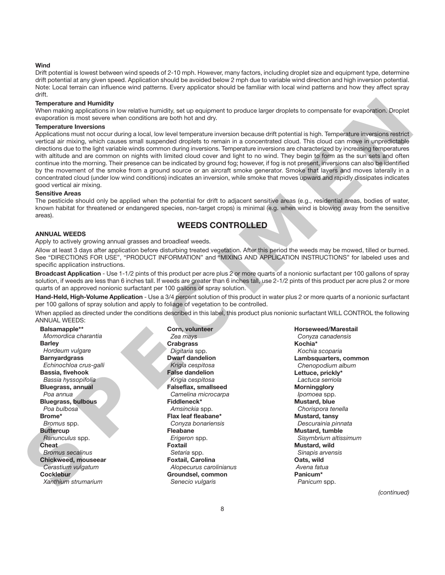#### **Wind**

Drift potential is lowest between wind speeds of 2-10 mph. However, many factors, including droplet size and equipment type, determine drift potential at any given speed. Application should be avoided below 2 mph due to variable wind direction and high inversion potential. Note: Local terrain can influence wind patterns. Every applicator should be familiar with local wind patterns and how they affect spray drift.

#### **Temperature and Humidity**

When making applications in low relative humidity, set up equipment to produce larger droplets to compensate for evaporation. Droplet evaporation is most severe when conditions are both hot and dry.

#### **Temperature Inversions**

Applications must not occur during a local, low level temperature inversion because drift potential is high. Temperature inversions restrict vertical air mixing, which causes small suspended droplets to remain in a concentrated cloud. This cloud can move in unpredictable directions due to the light variable winds common during inversions. Temperature inversions are characterized by increasing temperatures with altitude and are common on nights with limited cloud cover and light to no wind. They begin to form as the sun sets and often continue into the morning. Their presence can be indicated by ground fog; however, if fog is not present, inversions can also be identified by the movement of the smoke from a ground source or an aircraft smoke generator. Smoke that layers and moves laterally in a concentrated cloud (under low wind conditions) indicates an inversion, while smoke that moves upward and rapidly dissipates indicates good vertical air mixing. The particles and standard in the standard in the standard interaction and the standard and the standard and the standard and the standard and the standard interaction of the standard interaction in the standard interactio

#### **Sensitive Areas**

The pesticide should only be applied when the potential for drift to adjacent sensitive areas (e.g., residential areas, bodies of water, known habitat for threatened or endangered species, non-target crops) is minimal (e.g. when wind is blowing away from the sensitive areas).

# **WEEDS CONTROLLED**

#### **ANNUAL WEEDS**

Apply to actively growing annual grasses and broadleaf weeds.

Allow at least 3 days after application before disturbing treated vegetation. After this period the weeds may be mowed, tilled or burned. See "DIRECTIONS FOR USE", "PRODUCT INFORMATION" and "MIXING AND APPLICATION INSTRUCTIONS" for labeled uses and specific application instructions.

**Broadcast Application** - Use 1-1/2 pints of this product per acre plus 2 or more quarts of a nonionic surfactant per 100 gallons of spray solution, if weeds are less than 6 inches tall. If weeds are greater than 6 inches tall, use 2-1/2 pints of this product per acre plus 2 or more quarts of an approved nonionic surfactant per 100 gallons of spray solution.

**Hand-Held, High-Volume Application** - Use a 3/4 percent solution of this product in water plus 2 or more quarts of a nonionic surfactant per 100 gallons of spray solution and apply to foliage of vegetation to be controlled.

When applied as directed under the conditions described in this label, this product plus nonionic surfactant WILL CONTROL the following ANNUAL WEEDS:

**Balsamapple\*\*** *Momordica charantia* **Barley** *Hordeum vulgare* **Barnyardgrass** *Echinochloa crus-galli* **Bassia, fivehook** *Bassia hyssopifolia*  **Bluegrass, annual** *Poa annua* **Bluegrass, bulbous** *Poa bulbosa* **Brome\*** *Bromus* spp. **Buttercup** *Ranunculus* spp. **Cheat** *Bromus secalinus* **Chickweed, mouseear** *Cerastium vulgatum* **Cocklebur** *Xanthium strumarium*

**Corn, volunteer** *Zea mays* **Crabgrass** *Digitaria* spp. **Dwarf dandelion** *Krigia cespitosa* **False dandelion** *Krigia cespitosa* **Falseflax, smallseed** *Camelina microcarpa* **Fiddleneck\*** *Amsinckia* spp. **Flax leaf fleabane\*** *Conyza bonariensis* **Fleabane** *Erigeron* spp. **Foxtail** *Setaria* spp. **Foxtail, Carolina** *Alopecurus carolinianus* **Groundsel, common** *Senecio vulgaris*

**Horseweed/Marestail** *Conyza canadensis* **Kochia\*** *Kochia scoparia* **Lambsquarters, common** *Chenopodium album* **Lettuce, prickly\*** *Lactuca serriola* **Morningglory** *Ipomoea* spp. **Mustard, blue** *Chorispora tenella* **Mustard, tansy** *Descurainia pinnata* **Mustard, tumble** *Sisymbrium altissimum* **Mustard, wild** *Sinapis arvensis* **Oats, wild** *Avena fatua* **Panicum\*** *Panicum* spp.

*(continued)*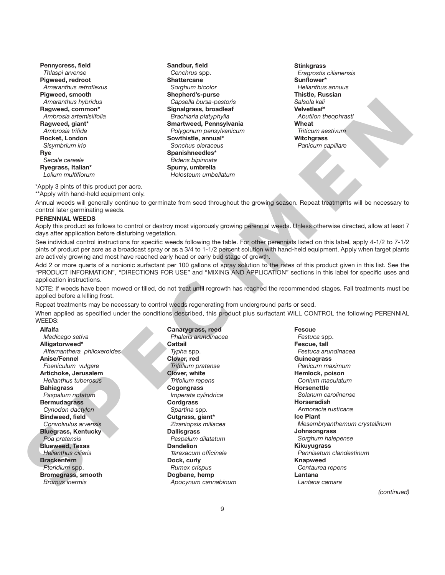**Pennycress, field** *Thlaspi arvense* **Pigweed, redroot** *Amaranthus retroflexus* **Pigweed, smooth** *Amaranthus hybridus* **Ragweed, common\*** *Ambrosia artemisiifolia* **Ragweed, giant\*** *Ambrosia trifida* **Rocket, London**  *Sisymbrium irio* **Rye** *Secale cereale* **Ryegrass, Italian\*** *Lolium multiflorum*

**Sandbur, field** *Cenchrus* spp. **Shattercane** *Sorghum bicolor* **Shepherd's-purse** *Capsella bursa-pastoris* **Signalgrass, broadleaf** *Brachiaria platyphylla* **Smartweed, Pennsylvania** *Polygonum pensylvanicum* **Sowthistle, annual\*** *Sonchus oleraceus* **Spanishneedles\*** *Bidens bipinnata* **Spurry, umbrella** *Holosteum umbellatum*

**Stinkgrass** *Eragrostis cilianensis* **Sunflower\*** *Helianthus annuus* **Thistle, Russian** *Salsola kali* **Velvetleaf\*** *Abutilon theophrasti* **Wheat** *Triticum aestivum* **Witchgrass** *Panicum capillare*

\*Apply 3 pints of this product per acre.

\*\*Apply with hand-held equipment only.

Annual weeds will generally continue to germinate from seed throughout the growing season. Repeat treatments will be necessary to control later germinating weeds.

#### **PERENNIAL WEEDS**

Apply this product as follows to control or destroy most vigorously growing perennial weeds. Unless otherwise directed, allow at least 7 days after application before disturbing vegetation.

See individual control instructions for specific weeds following the table. For other perennials listed on this label, apply 4-1/2 to 7-1/2 pints of product per acre as a broadcast spray or as a 3/4 to 1-1/2 percent solution with hand-held equipment. Apply when target plants are actively growing and most have reached early head or early bud stage of growth.

Add 2 or more quarts of a nonionic surfactant per 100 gallons of spray solution to the rates of this product given in this list. See the "PRODUCT INFORMATION", "DIRECTIONS FOR USE" and "MIXING AND APPLICATION" sections in this label for specific uses and application instructions.

NOTE: If weeds have been mowed or tilled, do not treat until regrowth has reached the recommended stages. Fall treatments must be applied before a killing frost.

Repeat treatments may be necessary to control weeds regenerating from underground parts or seed.

When applied as specified under the conditions described, this product plus surfactant WILL CONTROL the following PERENNIAL WEEDS:

**Alfalfa** *Medicago sativa* **Alligatorweed\*** *Alternanthera philoxeroides* **Anise/Fennel** *Foeniculum vulgare* **Artichoke, Jerusalem** *Helianthus tuberosus* **Bahiagrass** *Paspalum notatum* **Bermudagrass** *Cynodon dactylon* **Bindweed, field** *Convolvulus arvensis* **Bluegrass, Kentucky** *Poa pratensis* **Blueweed, Texas** *Helianthus ciliaris* **Brackenfern** *Pteridium* spp. **Bromegrass, smooth** *Bromus inermis*

**Canarygrass, reed** *Phalaris arundinacea* **Cattail** *Typha* spp. **Clover, red** *Trifolium pratense* **Clover, white** *Trifolium repens* **Cogongrass** *Imperata cylindrica* **Cordgrass** *Spartina* spp. **Cutgrass, giant\*** *Zizaniopsis miliacea* **Dallisgrass** *Paspalum dilatatum* **Dandelion** *Taraxacum officinale* **Dock, curly** *Rumex crispus* **Dogbane, hemp** *Apocynum cannabinum*

**Fescue** *Festuca* spp. **Fescue, tall** *Festuca arundinacea* **Guineagrass** *Panicum maximum* **Hemlock, poison** *Conium maculatum* **Horsenettle** *Solanum carolinense* **Horseradish** *Armoracia rusticana* **Ice Plant** *Mesembryanthemum crystallinum* **Johnsongrass** *Sorghum halepense* **Kikuyugrass** *Pennisetum clandestinum* **Knapweed** *Centaurea repens* **Lantana** *Lantana camara* A measure of the control of the control of the control of the control of the control of the control of the control of the control of the control of the control of the control of the control of the control of the control of

*(continued)*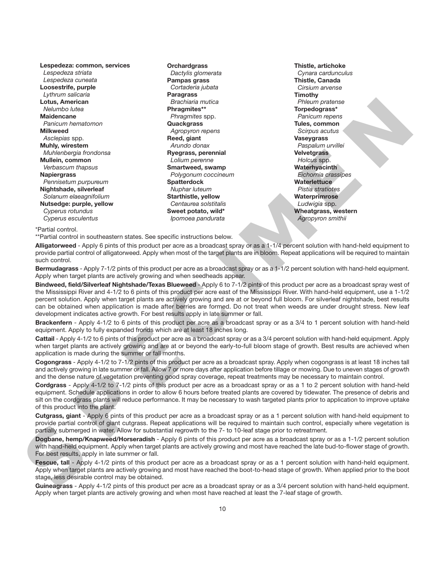**Lespedeza: common, services** *Lespedeza striata Lespedeza cuneata* **Loosestrife, purple** *Lythrum salicaria* **Lotus, American** *Nelumbo lutea* **Maidencane** *Panicum hematomon* **Milkweed** *Asclepias* spp. **Muhly, wirestem** *Muhlenbergia frondonsa* **Mullein, common** *Verbascum thapsus* **Napiergrass** *Pennisetum purpureum* **Nightshade, silverleaf** *Solanum elaeagnifolium* **Nutsedge: purple, yellow** *Cyperus rotundus Cyperus esculentus*

**Orchardgrass** *Dactylis glomerata* **Pampas grass** *Cortaderia jubata* **Paragrass** *Brachiaria mutica* **Phragmites\*\*** *Phragmites* spp. **Quackgrass** *Agropyron repens* **Reed, giant** *Arundo donax* **Ryegrass, perennial** *Lolium perenne* **Smartweed, swamp** *Polygonum coccineum* **Spatterdock** *Nuphar luteum* **Starthistle, yellow** *Centaurea solstitalis* **Sweet potato, wild\*** *Ipomoea pandurata*

**Thistle, artichoke** *Cynara cardunculus* **Thistle, Canada** *Cirsium arvense* **Timothy** *Phleum pratense* **Torpedograss\*** *Panicum repens* **Tules, common** *Scirpus acutus* **Vaseygrass** *Paspalum urvillei* **Velvetgrass** *Holcus* spp. **Waterhyacinth** *Eichornia crassipes* **Waterlettuce** *Pistia stratiotes* **Waterprimrose** *Ludwigia* spp. **Wheatgrass, western** *Agropyron smithii*

\*Partial control.

\*\*Partial control in southeastern states. See specific instructions below.

**Alligatorweed** - Apply 6 pints of this product per acre as a broadcast spray or as a 1-1/4 percent solution with hand-held equipment to provide partial control of alligatorweed. Apply when most of the target plants are in bloom. Repeat applications will be required to maintain such control.

**Bermudagrass** - Apply 7-1/2 pints of this product per acre as a broadcast spray or as a 1-1/2 percent solution with hand-held equipment. Apply when target plants are actively growing and when seedheads appear.

**Bindweed, field/Silverleaf Nightshade/Texas Blueweed** - Apply 6 to 7-1/2 pints of this product per acre as a broadcast spray west of the Mississippi River and 4-1/2 to 6 pints of this product per acre east of the Mississippi River. With hand-held equipment, use a 1-1/2 percent solution. Apply when target plants are actively growing and are at or beyond full bloom. For silverleaf nightshade, best results can be obtained when application is made after berries are formed. Do not treat when weeds are under drought stress. New leaf development indicates active growth. For best results apply in late summer or fall. Lookin, American control and the solution of the solution of the solution of the solution of the solution of the solution of the solution of the solution of the solution of the solution of the solution of the solution of t

**Brackenfern** - Apply 4-1/2 to 6 pints of this product per acre as a broadcast spray or as a 3/4 to 1 percent solution with hand-held equipment. Apply to fully expanded fronds which are at least 18 inches long.

**Cattail** - Apply 4-1/2 to 6 pints of this product per acre as a broadcast spray or as a 3/4 percent solution with hand-held equipment. Apply when target plants are actively growing and are at or beyond the early-to-full bloom stage of growth. Best results are achieved when application is made during the summer or fall months.

**Cogongrass** - Apply 4-1/2 to 7-1/2 pints of this product per acre as a broadcast spray. Apply when cogongrass is at least 18 inches tall and actively growing in late summer or fall. Allow 7 or more days after application before tillage or mowing. Due to uneven stages of growth and the dense nature of vegetation preventing good spray coverage, repeat treatments may be necessary to maintain control.

**Cordgrass** - Apply 4-1/2 to 7-1/2 pints of this product per acre as a broadcast spray or as a 1 to 2 percent solution with hand-held equipment. Schedule applications in order to allow 6 hours before treated plants are covered by tidewater. The presence of debris and silt on the cordgrass plants will reduce performance. It may be necessary to wash targeted plants prior to application to improve uptake of this product into the plant.

**Cutgrass, giant** - Apply 6 pints of this product per acre as a broadcast spray or as a 1 percent solution with hand-held equipment to provide partial control of giant cutgrass. Repeat applications will be required to maintain such control, especially where vegetation is partially submerged in water. Allow for substantial regrowth to the 7- to 10-leaf stage prior to retreatment.

**Dogbane, hemp/Knapweed/Horseradish** - Apply 6 pints of this product per acre as a broadcast spray or as a 1-1/2 percent solution with hand-held equipment. Apply when target plants are actively growing and most have reached the late bud-to-flower stage of growth. For best results, apply in late summer or fall.

Fescue, tall - Apply 4-1/2 pints of this product per acre as a broadcast spray or as a 1 percent solution with hand-held equipment. Apply when target plants are actively growing and most have reached the boot-to-head stage of growth. When applied prior to the boot stage, less desirable control may be obtained.

**Guineagrass** - Apply 4-1/2 pints of this product per acre as a broadcast spray or as a 3/4 percent solution with hand-held equipment. Apply when target plants are actively growing and when most have reached at least the 7-leaf stage of growth.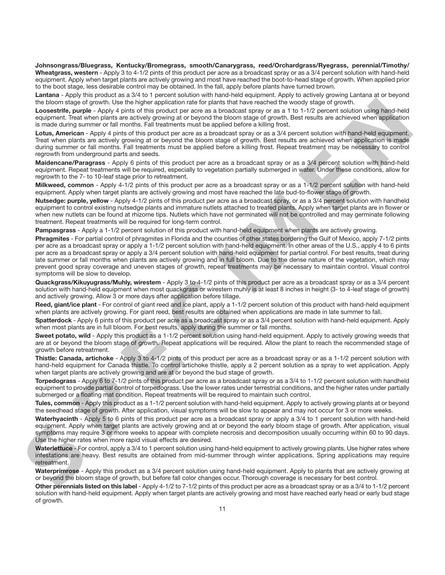**Johnsongrass/Bluegrass, Kentucky/Bromegrass, smooth/Canarygrass, reed/Orchardgrass/Ryegrass, perennial/Timothy/ Wheatgrass, western** - Apply 3 to 4-1/2 pints of this product per acre as a broadcast spray or as a 3/4 percent solution with hand-held equipment. Apply when target plants are actively growing and most have reached the boot-to-head stage of growth. When applied prior to the boot stage, less desirable control may be obtained. In the fall, apply before plants have turned brown.

**Lantana** - Apply this product as a 3/4 to 1 percent solution with hand-held equipment. Apply to actively growing Lantana at or beyond the bloom stage of growth. Use the higher application rate for plants that have reached the woody stage of growth.

**Loosestrife, purple** - Apply 4 pints of this product per acre as a broadcast spray or as a 1 to 1-1/2 percent solution using hand-held equipment. Treat when plants are actively growing at or beyond the bloom stage of growth. Best results are achieved when application is made during summer or fall months. Fall treatments must be applied before a killing frost.

**Lotus, American** - Apply 4 pints of this product per acre as a broadcast spray or as a 3/4 percent solution with hand-held equipment. Treat when plants are actively growing at or beyond the bloom stage of growth. Best results are achieved when application is made during summer or fall months. Fall treatments must be applied before a killing frost. Repeat treatment may be necessary to control regrowth from underground parts and seeds.

**Maidencane/Paragrass** - Apply 6 pints of this product per acre as a broadcast spray or as a 3/4 percent solution with hand-held equipment. Repeat treatments will be required, especially to vegetation partially submerged in water. Under these conditions, allow for regrowth to the 7- to 10-leaf stage prior to retreatment.

**Milkweed, common** - Apply 4-1/2 pints of this product per acre as a broadcast spray or as a 1-1/2 percent solution with hand-held equipment. Apply when target plants are actively growing and most have reached the late bud-to-flower stage of growth.

Nutsedge: purple, yellow - Apply 4-1/2 pints of this product per acre as a broadcast spray, or as a 3/4 percent solution with handheld equipment to control existing nutsedge plants and immature nutlets attached to treated plants. Apply when target plants are in flower or when new nutlets can be found at rhizome tips. Nutlets which have not germinated will not be controlled and may germinate following treatment. Repeat treatments will be required for long-term control.

**Pampasgrass** - Apply a 1-1/2 percent solution of this product with hand-held equipment when plants are actively growing.

**Phragmites** - For partial control of phragmites in Florida and the counties of other states bordering the Gulf of Mexico, apply 7-1/2 pints per acre as a broadcast spray or apply a 1-1/2 percent solution with hand-held equipment. In other areas of the U.S., apply 4 to 6 pints per acre as a broadcast spray or apply a 3/4 percent solution with hand-held equipment for partial control. For best results, treat during late summer or fall months when plants are actively growing and in full bloom. Due to the dense nature of the vegetation, which may prevent good spray coverage and uneven stages of growth, repeat treatments may be necessary to maintain control. Visual control symptoms will be slow to develop. The boost the set of the third in the special on the form is the three set of the second state of the set of the set of the set of the set of the set of the set of the set of the set of the set of the set of the set of the

**Quackgrass/Kikuyugrass/Muhly, wirestem** - Apply 3 to 4-1/2 pints of this product per acre as a broadcast spray or as a 3/4 percent solution with hand-held equipment when most quackgrass or wirestem muhly is at least 8 inches in height (3- to 4-leaf stage of growth) and actively growing. Allow 3 or more days after application before tillage.

**Reed, giant/ice plant** - For control of giant reed and ice plant, apply a 1-1/2 percent solution of this product with hand-held equipment when plants are actively growing. For giant reed, best results are obtained when applications are made in late summer to fall.

**Spatterdock** - Apply 6 pints of this product per acre as a broadcast spray or as a 3/4 percent solution with hand-held equipment. Apply when most plants are in full bloom. For best results, apply during the summer or fall months.

**Sweet potato, wild** - Apply this product as a 1-1/2 percent solution using hand-held equipment. Apply to actively growing weeds that are at or beyond the bloom stage of growth. Repeat applications will be required. Allow the plant to reach the recommended stage of growth before retreatment.

**Thistle: Canada, artichoke** - Apply 3 to 4-1/2 pints of this product per acre as a broadcast spray or as a 1-1/2 percent solution with hand-held equipment for Canada thistle. To control artichoke thistle, apply a 2 percent solution as a spray to wet application. Apply when target plants are actively growing and are at or beyond the bud stage of growth.

**Torpedograss** - Apply 6 to 7-1/2 pints of this product per acre as a broadcast spray or as a 3/4 to 1-1/2 percent solution with handheld equipment to provide partial control of torpedograss. Use the lower rates under terrestrial conditions, and the higher rates under partially submerged or a floating mat condition. Repeat treatments will be required to maintain such control.

**Tules, common** - Apply this product as a 1-1/2 percent solution with hand-held equipment. Apply to actively growing plants at or beyond the seedhead stage of growth. After application, visual symptoms will be slow to appear and may not occur for 3 or more weeks.

**Waterhyacinth** - Apply 5 to 6 pints of this product per acre as a broadcast spray or apply a 3/4 to 1 percent solution with hand-held equipment. Apply when target plants are actively growing and at or beyond the early bloom stage of growth. After application, visual symptoms may require 3 or more weeks to appear with complete necrosis and decomposition usually occurring within 60 to 90 days. Use the higher rates when more rapid visual effects are desired.

**Waterlettuce** - For control, apply a 3/4 to 1 percent solution using hand-held equipment to actively growing plants. Use higher rates where infestations are heavy. Best results are obtained from mid-summer through winter applications. Spring applications may require retreatment.

**Waterprimrose** - Apply this product as a 3/4 percent solution using hand-held equipment. Apply to plants that are actively growing at or beyond the bloom stage of growth, but before fall color changes occur. Thorough coverage is necessary for best control.

**Other perennials listed on this label** - Apply 4-1/2 to 7-1/2 pints of this product per acre as a broadcast spray or as a 3/4 to 1-1/2 percent solution with hand-held equipment. Apply when target plants are actively growing and most have reached early head or early bud stage of growth.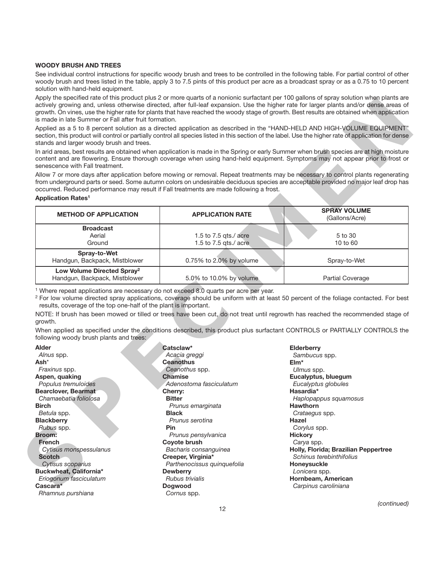#### **WOODY BRUSH AND TREES**

See individual control instructions for specific woody brush and trees to be controlled in the following table. For partial control of other woody brush and trees listed in the table, apply 3 to 7.5 pints of this product per acre as a broadcast spray or as a 0.75 to 10 percent solution with hand-held equipment.

Apply the specified rate of this product plus 2 or more quarts of a nonionic surfactant per 100 gallons of spray solution when plants are actively growing and, unless otherwise directed, after full-leaf expansion. Use the higher rate for larger plants and/or dense areas of growth. On vines, use the higher rate for plants that have reached the woody stage of growth. Best results are obtained when application is made in late Summer or Fall after fruit formation.

#### **Application Rates1**

| stands and larger woody brush and trees.                                                                            |                                                                                                  | Applied as a 5 to 8 percent solution as a directed application as described in the "HAND-HELD AND HIGH-VOLUME EQUIPMENT"<br>section, this product will control or partially control all species listed in this section of the label. Use the higher rate of application for dense |
|---------------------------------------------------------------------------------------------------------------------|--------------------------------------------------------------------------------------------------|-----------------------------------------------------------------------------------------------------------------------------------------------------------------------------------------------------------------------------------------------------------------------------------|
| senescence with Fall treatment.                                                                                     |                                                                                                  | In arid areas, best results are obtained when application is made in the Spring or early Summer when brush species are at high moisture<br>content and are flowering. Ensure thorough coverage when using hand-held equipment. Symptoms may not appear prior to frost or          |
| <b>Application Rates<sup>1</sup></b>                                                                                | occurred. Reduced performance may result if Fall treatments are made following a frost.          | Allow 7 or more days after application before mowing or removal. Repeat treatments may be necessary to control plants regenerating<br>from underground parts or seed. Some autumn colors on undesirable deciduous species are acceptable provided no major leaf drop has          |
| <b>METHOD OF APPLICATION</b>                                                                                        | <b>APPLICATION RATE</b>                                                                          | <b>SPRAY VOLUME</b><br>(Gallons/Acre)                                                                                                                                                                                                                                             |
| <b>Broadcast</b>                                                                                                    |                                                                                                  |                                                                                                                                                                                                                                                                                   |
| Aerial                                                                                                              | 1.5 to 7.5 gts./ $\alpha$ acre                                                                   | 5 to 30                                                                                                                                                                                                                                                                           |
| Ground                                                                                                              | 1.5 to 7.5 qts./ acre                                                                            | 10 to 60                                                                                                                                                                                                                                                                          |
| Spray-to-Wet<br>Handgun, Backpack, Mistblower                                                                       | 0.75% to 2.0% by volume                                                                          | Spray-to-Wet                                                                                                                                                                                                                                                                      |
| Low Volume Directed Spray <sup>2</sup><br>Handgun, Backpack, Mistblower                                             | 5.0% to 10.0% by volume                                                                          | <b>Partial Coverage</b>                                                                                                                                                                                                                                                           |
| results, coverage of the top one-half of the plant is important.                                                    | <sup>1</sup> Where repeat applications are necessary do not exceed 8.0 quarts per acre per year. | <sup>2</sup> For low volume directed spray applications, coverage should be uniform with at least 50 percent of the foliage contacted. For best                                                                                                                                   |
|                                                                                                                     |                                                                                                  | NOTE: If brush has been mowed or tilled or trees have been cut, do not treat until regrowth has reached the recommended stage of<br>When applied as specified under the conditions described, this product plus surfactant CONTROLS or PARTIALLY CONTROLS the                     |
| growth.<br>following woody brush plants and trees:                                                                  |                                                                                                  |                                                                                                                                                                                                                                                                                   |
|                                                                                                                     | Catsclaw*                                                                                        | <b>Elderberry</b>                                                                                                                                                                                                                                                                 |
|                                                                                                                     | Acacia greggi                                                                                    | Sambucus spp.                                                                                                                                                                                                                                                                     |
|                                                                                                                     | <b>Ceanothus</b>                                                                                 | $E$ Im*                                                                                                                                                                                                                                                                           |
|                                                                                                                     | Ceanothus spp.<br><b>Chamise</b>                                                                 | Ulmus spp.                                                                                                                                                                                                                                                                        |
| Fraxinus spp.<br>Populus tremuloides                                                                                | Adenostoma fasciculatum                                                                          | Eucalyptus, bluegum<br>Eucalyptus globules                                                                                                                                                                                                                                        |
| Alnus spp.                                                                                                          | Cherry:                                                                                          | Hasardia*                                                                                                                                                                                                                                                                         |
| Chamaebatia foliolosa                                                                                               | <b>Bitter</b>                                                                                    | Haplopappus squamosus                                                                                                                                                                                                                                                             |
|                                                                                                                     | Prunus emarginata                                                                                | <b>Hawthorn</b>                                                                                                                                                                                                                                                                   |
|                                                                                                                     | <b>Black</b>                                                                                     | Crataegus spp.                                                                                                                                                                                                                                                                    |
|                                                                                                                     | Prunus serotina                                                                                  | Hazel                                                                                                                                                                                                                                                                             |
| Betula spp.<br>Rubus spp.                                                                                           | Pin                                                                                              | Corylus spp.                                                                                                                                                                                                                                                                      |
| <b>Alder</b><br>Ash*<br>Aspen, quaking<br>Bearclover, Bearmat<br><b>Birch</b><br><b>Blackberry</b><br><b>Broom:</b> | Prunus pensylvanica                                                                              | <b>Hickory</b>                                                                                                                                                                                                                                                                    |
| <b>French</b>                                                                                                       | Coyote brush                                                                                     | Carya spp.                                                                                                                                                                                                                                                                        |
| Cytisus monspessulanus                                                                                              | Bacharis consanguinea                                                                            | Holly, Florida; Brazilian Peppertree                                                                                                                                                                                                                                              |
| <b>Scotch</b>                                                                                                       | Creeper, Virginia*                                                                               | Schinus terebinthifolius                                                                                                                                                                                                                                                          |
| Cytisus scoparius<br>Buckwheat, California*                                                                         | Parthenocissus quinquefolia<br><b>Dewberry</b>                                                   | Honeysuckle                                                                                                                                                                                                                                                                       |
| Eriogonum fasciculatum                                                                                              | Rubus trivialis                                                                                  | Lonicera spp.<br>Hornbeam, American                                                                                                                                                                                                                                               |

**Catsclaw\*** *Acacia greggi* **Ceanothus** *Ceanothus* spp. **Chamise** *Adenostoma fasciculatum* **Cherry: Bitter** *Prunus emarginata* **Black** *Prunus serotina* **Pin** *Prunus pensylvanica* **Coyote brush** *Bacharis consanguinea* **Creeper, Virginia\*** *Parthenocissus quinquefolia* **Dewberry** *Rubus trivialis* **Dogwood** *Cornus* spp.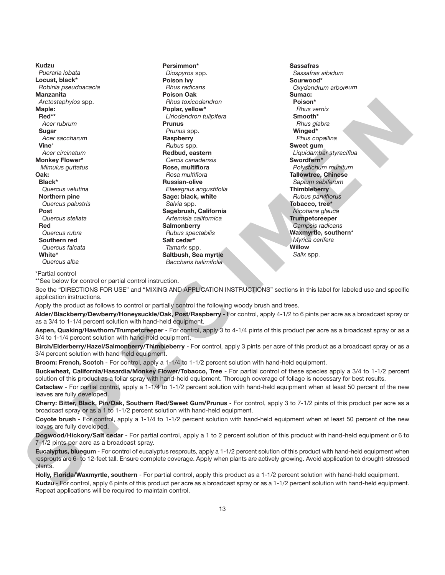**Kudzu** *Pueraria lobata* **Locust, black\*** *Robinia pseudoacacia* **Manzanita** *Arctostaphylos* spp. **Maple: Red\*\*** *Acer rubrum* **Sugar** *Acer saccharum* **Vine***\* Acer circinatum* **Monkey Flower\*** *Mimulus guttatus* **Oak: Black\*** *Quercus velutina* **Northern pine** *Quercus palustris* **Post** *Quercus stellata* **Red** *Quercus rubra* **Southern red** *Quercus falcata* **White\*** *Quercus alba*

**Persimmon\*** *Diospyros* spp. **Poison Ivy** *Rhus radicans* **Poison Oak** *Rhus toxicodendron* **Poplar, yellow\*** *Liriodendron tulipifera* **Prunus** *Prunus* spp. **Raspberry** *Rubus* spp. **Redbud, eastern** *Cercis canadensis* **Rose, multiflora** *Rosa multiflora* **Russian-olive** *Elaeagnus angustifolia* **Sage: black, white** *Salvia* spp. **Sagebrush, California** *Artemisia californica* **Salmonberry** *Rubus spectabilis* **Salt cedar\*** *Tamarix* spp. **Saltbush, Sea myrtle** *Baccharis halimifolia*

**Sassafras** *Sassafras aibidum* **Sourwood\*** *Oxydendrum arboreum* **Sumac: Poison\*** *Rhus vernix* **Smooth\*** *Rhus glabra* **Winged\*** *Phus copallina* **Sweet gum** *Liquidambar styraciflua* **Swordfern\*** *Polystichum munitum* **Tallowtree, Chinese** *Sapium sebiferum* **Thimbleberry** *Rubus parviflorus* **Tobacco, tree\*** *Nicotiana glauca* **Trumpetcreeper** *Campsis radicans* **Waxmyrtle, southern\*** *Myrica cerifera* **Willow** *Salix* spp. Analogous state. The focolor of the control of the control of the control of the control of the control of the control of the control of the control of the control of the control of the control of the control of the contr

\*Partial control

\*\*See below for control or partial control instruction.

See the "DIRECTIONS FOR USE" and "MIXING AND APPLICATION INSTRUCTIONS" sections in this label for labeled use and specific application instructions.

Apply the product as follows to control or partially control the following woody brush and trees.

**Alder/Blackberry/Dewberry/Honeysuckle/Oak, Post/Raspberry** - For control, apply 4-1/2 to 6 pints per acre as a broadcast spray or as a 3/4 to 1-1/4 percent solution with hand-held equipment.

**Aspen, Quaking/Hawthorn/Trumpetcreeper** - For control, apply 3 to 4-1/4 pints of this product per acre as a broadcast spray or as a 3/4 to 1-1/4 percent solution with hand-held equipment.

**Birch/Elderberry/Hazel/Salmonberry/Thimbleberry** - For control, apply 3 pints per acre of this product as a broadcast spray or as a 3/4 percent solution with hand-held equipment.

**Broom: French, Scotch** - For control, apply a 1-1/4 to 1-1/2 percent solution with hand-held equipment.

**Buckwheat, California/Hasardia/Monkey Flower/Tobacco, Tree** - For partial control of these species apply a 3/4 to 1-1/2 percent solution of this product as a foliar spray with hand-held equipment. Thorough coverage of foliage is necessary for best results.

**Catsclaw** - For partial control, apply a 1-1/4 to 1-1/2 percent solution with hand-held equipment when at least 50 percent of the new leaves are fully developed.

**Cherry: Bitter, Black, Pin/Oak, Southern Red/Sweet Gum/Prunus** - For control, apply 3 to 7-1/2 pints of this product per acre as a broadcast spray or as a 1 to 1-1/2 percent solution with hand-held equipment.

**Coyote brush** - For control, apply a 1-1/4 to 1-1/2 percent solution with hand-held equipment when at least 50 percent of the new leaves are fully developed.

**Dogwood/Hickory/Salt cedar** - For partial control, apply a 1 to 2 percent solution of this product with hand-held equipment or 6 to 7-1/2 pints per acre as a broadcast spray.

**Eucalyptus, bluegum** - For control of eucalyptus resprouts, apply a 1-1/2 percent solution of this product with hand-held equipment when resprouts are 6- to 12-feet tall. Ensure complete coverage. Apply when plants are actively growing. Avoid application to drought-stressed plants.

**Holly, Florida/Waxmyrtle, southern** - For partial control, apply this product as a 1-1/2 percent solution with hand-held equipment.

**Kudzu** - For control, apply 6 pints of this product per acre as a broadcast spray or as a 1-1/2 percent solution with hand-held equipment. Repeat applications will be required to maintain control.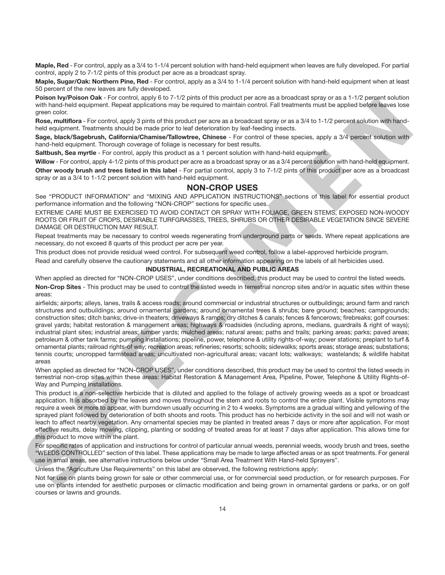**Maple, Red** - For control, apply as a 3/4 to 1-1/4 percent solution with hand-held equipment when leaves are fully developed. For partial control, apply 2 to 7-1/2 pints of this product per acre as a broadcast spray.

Maple, Sugar/Oak: Northern Pine, Red - For control, apply as a 3/4 to 1-1/4 percent solution with hand-held equipment when at least 50 percent of the new leaves are fully developed.

**Poison Ivy/Poison Oak** - For control, apply 6 to 7-1/2 pints of this product per acre as a broadcast spray or as a 1-1/2 percent solution with hand-held equipment. Repeat applications may be required to maintain control. Fall treatments must be applied before leaves lose green color.

**Rose, multiflora** - For control, apply 3 pints of this product per acre as a broadcast spray or as a 3/4 to 1-1/2 percent solution with handheld equipment. Treatments should be made prior to leaf deterioration by leaf-feeding insects.

**Sage, black/Sagebrush, California/Chamise/Tallowtree, Chinese** - For control of these species, apply a 3/4 percent solution with hand-held equipment. Thorough coverage of foliage is necessary for best results.

**Saltbush, Sea myrtle** - For control, apply this product as a 1 percent solution with hand-held equipment.

**Willow** - For control, apply 4-1/2 pints of this product per acre as a broadcast spray or as a 3/4 percent solution with hand-held equipment.

**Other woody brush and trees listed in this label** - For partial control, apply 3 to 7-1/2 pints of this product per acre as a broadcast spray or as a 3/4 to 1-1/2 percent solution with hand-held equipment.

#### **NON-CROP USES**

See "PRODUCT INFORMATION" and "MIXING AND APPLICATION INSTRUCTIONS" sections of this label for essential product performance information and the following "NON-CROP" sections for specific uses.

EXTREME CARE MUST BE EXERCISED TO AVOID CONTACT OR SPRAY WITH FOLIAGE, GREEN STEMS, EXPOSED NON-WOODY ROOTS OR FRUIT OF CROPS, DESIRABLE TURFGRASSES, TREES, SHRUBS OR OTHER DESIRABLE VEGETATION SINCE SEVERE DAMAGE OR DESTRUCTION MAY RESULT.

Repeat treatments may be necessary to control weeds regenerating from underground parts or seeds. Where repeat applications are necessary, do not exceed 8 quarts of this product per acre per year.

This product does not provide residual weed control. For subsequent weed control, follow a label-approved herbicide program.

Read and carefully observe the cautionary statements and all other information appearing on the labels of all herbicides used.

#### **INDUSTRIAL, RECREATIONAL AND PUBLIC AREAS**

When applied as directed for "NON-CROP USES", under conditions described, this product may be used to control the listed weeds. **Non-Crop Sites** - This product may be used to control the listed weeds in terrestrial noncrop sites and/or in aquatic sites within these areas:

airfields; airports; alleys, lanes, trails & access roads; around commercial or industrial structures or outbuildings; around farm and ranch structures and outbuildings; around ornamental gardens; around ornamental trees & shrubs; bare ground; beaches; campgrounds; construction sites; ditch banks; drive-in theaters; driveways & ramps; dry ditches & canals; fences & fencerows; firebreaks; golf courses: gravel yards; habitat restoration & management areas; highways & roadsides (including aprons, medians, guardrails & right of ways); industrial plant sites; industrial areas; lumber yards; mulched areas; natural areas; paths and trails; parking areas; parks; paved areas; petroleum & other tank farms; pumping installations; pipeline, power, telephone & utility rights-of-way; power stations; preplant to turf & ornamental plants; railroad rights-of way; recreation areas; refineries; resorts; schools; sidewalks; sports areas; storage areas; substations; tennis courts; uncropped farmstead areas; uncultivated non-agricultural areas; vacant lots; walkways; wastelands; & wildlife habitat areas Please hyperson Case is considered by the offer a probable precise as considered by each of the please state is a state of the other state is a state of the other state is a state of the other state is a state of the other

When applied as directed for "NON-CROP USES", under conditions described, this product may be used to control the listed weeds in terrestrial non-crop sites within these areas: Habitat Restoration & Management Area, Pipeline, Power, Telephone & Utility Rights-of-Way and Pumping Installations.

This product is a non-selective herbicide that is diluted and applied to the foliage of actively growing weeds as a spot or broadcast application. It is absorbed by the leaves and moves throughout the stem and roots to control the entire plant. Visible symptoms may require a week or more to appear, with burndown usually occurring in 2 to 4 weeks. Symptoms are a gradual wilting and yellowing of the sprayed plant followed by deterioration of both shoots and roots. This product has no herbicide activity in the soil and will not wash or leach to affect nearby vegetation. Any ornamental species may be planted in treated areas 7 days or more after application. For most effective results, delay mowing, clipping, planting or sodding of treated areas for at least 7 days after application. This allows time for this product to move within the plant.

For specific rates of application and instructions for control of particular annual weeds, perennial weeds, woody brush and trees, seethe "WEEDS CONTROLLED" section of this label. These applications may be made to large affected areas or as spot treatments. For general use in small areas, see alternative instructions below under "Small Area Treatment With Hand-held Sprayers".

Unless the "Agriculture Use Requirements" on this label are observed, the following restrictions apply:

Not for use on plants being grown for sale or other commercial use, or for commercial seed production, or for research purposes. For use on plants intended for aesthetic purposes or climactic modification and being grown in ornamental gardens or parks, or on golf courses or lawns and grounds.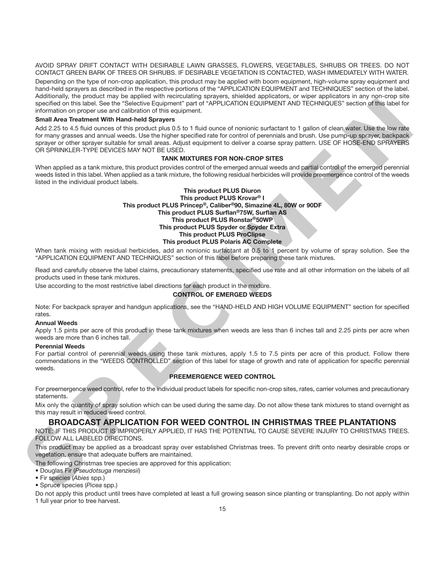AVOID SPRAY DRIFT CONTACT WITH DESIRABLE LAWN GRASSES, FLOWERS, VEGETABLES, SHRUBS OR TREES. DO NOT CONTACT GREEN BARK OF TREES OR SHRUBS. IF DESIRABLE VEGETATION IS CONTACTED, WASH IMMEDIATELY WITH WATER.

Depending on the type of non-crop application, this product may be applied with boom equipment, high-volume spray equipment and hand-held sprayers as described in the respective portions of the "APPLICATION EQUIPMENT and TECHNIQUES" section of the label. Additionally, the product may be applied with recirculating sprayers, shielded applicators, or wiper applicators in any non-crop site specified on this label. See the "Selective Equipment" part of "APPLICATION EQUIPMENT AND TECHNIQUES" section of this label for information on proper use and calibration of this equipment.

#### **Small Area Treatment With Hand-held Sprayers**

Add 2.25 to 4.5 fluid ounces of this product plus 0.5 to 1 fluid ounce of nonionic surfactant to 1 gallon of clean water. Use the low rate for many grasses and annual weeds. Use the higher specified rate for control of perennials and brush. Use pump-up sprayer, backpack sprayer or other sprayer suitable for small areas. Adjust equipment to deliver a coarse spray pattern. USE OF HOSE-END SPRAYERS OR SPRINKLER-TYPE DEVICES MAY NOT BE USED.

#### **TANK MIXTURES FOR NON-CROP SITES**

When applied as a tank mixture, this product provides control of the emerged annual weeds and partial control of the emerged perennial weeds listed in this label. When applied as a tank mixture, the following residual herbicides will provide preemergence control of the weeds listed in the individual product labels.

# **This product PLUS Diuron This product PLUS Krovar® I This product PLUS Princep®, Caliber®90, Simazine 4L, 80W or 90DF This product PLUS Surflan®75W, Surflan AS This product PLUS Ronstar®50WP This product PLUS Spyder or Spyder Extra This product PLUS ProClipse This product PLUS Polaris AC Complete** expected minimals and a state spectral properties that means the spectral and the spectral and the spectral and the spectral and the spectral and the spectral and the spectral and the spectral and the spectral and the spec

When tank mixing with residual herbicides, add an nonionic surfactant at 0.5 to 1 percent by volume of spray solution. See the "APPLICATION EQUIPMENT AND TECHNIQUES" section of this label before preparing these tank mixtures.

Read and carefully observe the label claims, precautionary statements, specified use rate and all other information on the labels of all products used in these tank mixtures.

Use according to the most restrictive label directions for each product in the mixture.

#### **CONTROL OF EMERGED WEEDS**

Note: For backpack sprayer and handgun applications, see the "HAND-HELD AND HIGH VOLUME EQUIPMENT" section for specified rates.

#### **Annual Weeds**

Apply 1.5 pints per acre of this product in these tank mixtures when weeds are less than 6 inches tall and 2.25 pints per acre when weeds are more than 6 inches tall.

#### **Perennial Weeds**

For partial control of perennial weeds using these tank mixtures, apply 1.5 to 7.5 pints per acre of this product. Follow there commendations in the "WEEDS CONTROLLED" section of this label for stage of growth and rate of application for specific perennial weeds.

#### **PREEMERGENCE WEED CONTROL**

For preemergence weed control, refer to the individual product labels for specific non-crop sites, rates, carrier volumes and precautionary statements.

Mix only the quantity of spray solution which can be used during the same day. Do not allow these tank mixtures to stand overnight as this may result in reduced weed control.

#### **BROADCAST APPLICATION FOR WEED CONTROL IN CHRISTMAS TREE PLANTATIONS**

NOTE: IF THIS PRODUCT IS IMPROPERLY APPLIED, IT HAS THE POTENTIAL TO CAUSE SEVERE INJURY TO CHRISTMAS TREES. FOLLOW ALL LABELED DIRECTIONS.

This product may be applied as a broadcast spray over established Christmas trees. To prevent drift onto nearby desirable crops or vegetation, ensure that adequate buffers are maintained.

The following Christmas tree species are approved for this application:

- Douglas Fir (*Pseudotsuga menziesii*)
- Fir species (*Abies* spp.)
- Spruce species (*Picea* spp.)

Do not apply this product until trees have completed at least a full growing season since planting or transplanting. Do not apply within 1 full year prior to tree harvest.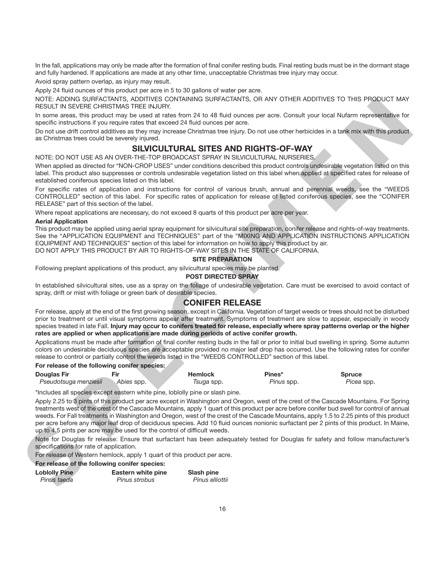In the fall, applications may only be made after the formation of final conifer resting buds. Final resting buds must be in the dormant stage and fully hardened. If applications are made at any other time, unacceptable Christmas tree injury may occur.

Avoid spray pattern overlap, as injury may result.

Apply 24 fluid ounces of this product per acre in 5 to 30 gallons of water per acre.

NOTE: ADDING SURFACTANTS, ADDITIVES CONTAINING SURFACTANTS, OR ANY OTHER ADDITIVES TO THIS PRODUCT MAY RESULT IN SEVERE CHRISTMAS TREE INJURY.

In some areas, this product may be used at rates from 24 to 48 fluid ounces per acre. Consult your local Nufarm representative for specific instructions if you require rates that exceed 24 fluid ounces per acre.

Do not use drift control additives as they may increase Christmas tree injury. Do not use other herbicides in a tank mix with this product as Christmas trees could be severely injured.

# **SILVICULTURAL SITES AND RIGHTS-OF-WAY**

NOTE: DO NOT USE AS AN OVER-THE-TOP BROADCAST SPRAY IN SILVICULTURAL NURSERIES.

When applied as directed for "NON-CROP USES" under conditions described this product controls undesirable vegetation listed on this label. This product also suppresses or controls undesirable vegetation listed on this label when applied at specified rates for release of established coniferous species listed on this label.

For specific rates of application and instructions for control of various brush, annual and perennial weeds, see the "WEEDS CONTROLLED" section of this label. For specific rates of application for release of listed coniferous species, see the "CONIFER RELEASE" part of this section of the label.

Where repeat applications are necessary, do not exceed 8 quarts of this product per acre per year.

#### **Aerial Application**

This product may be applied using aerial spray equipment for silvicultural site preparation, conifer release and rights-of-way treatments. See the "APPLICATION EQUIPMENT and TECHNIQUES" part of the "MIXING AND APPLICATION INSTRUCTIONS APPLICATION EQUIPMENT AND TECHNIQUES" section of this label for information on how to apply this product by air. DO NOT APPLY THIS PRODUCT BY AIR TO RIGHTS-OF-WAY SITES IN THE STATE OF CALIFORNIA.

#### **SITE PREPARATION**

Following preplant applications of this product, any silvicultural species may be planted.

#### **POST DIRECTED SPRAY**

In established silvicultural sites, use as a spray on the foliage of undesirable vegetation. Care must be exercised to avoid contact of spray, drift or mist with foliage or green bark of desirable species.

#### **CONIFER RELEASE**

For release, apply at the end of the first growing season, except in California. Vegetation of target weeds or trees should not be disturbed prior to treatment or until visual symptoms appear after treatment. Symptoms of treatment are slow to appear, especially in woody species treated in late Fall. **Injury may occur to conifers treated for release, especially where spray patterns overlap or the higher rates are applied or when applications are made during periods of active conifer growth.**

Applications must be made after formation of final conifer resting buds in the fall or prior to initial bud swelling in spring. Some autumn colors on undesirable deciduous species are acceptable provided no major leaf drop has occurred. Use the following rates for conifer release to control or partially control the weeds listed in the "WEEDS CONTROLLED" section of this label.

#### **For release of the following conifer species:**

| <b>Douglas Fir</b>    | Fir        | Hemlock           | Pines*     | Spruce     |
|-----------------------|------------|-------------------|------------|------------|
| Pseudotsuga menziesii | Abies spp. | <i>Tsuga</i> spp. | Pinus spp. | Picea spp. |

\*Includes all species except eastern white pine, loblolly pine or slash pine.

Apply 2.25 to 3 pints of this product per acre except in Washington and Oregon, west of the crest of the Cascade Mountains. For Spring treatments west of the crest of the Cascade Mountains, apply 1 quart of this product per acre before conifer bud swell for control of annual weeds. For Fall treatments in Washington and Oregon, west of the crest of the Cascade Mountains, apply 1.5 to 2.25 pints of this product per acre before any major leaf drop of deciduous species. Add 10 fluid ounces nonionic surfactant per 2 pints of this product. In Maine, up to 4.5 pints per acre may be used for the control of difficult weeds. NOTE LOORING HAPPENDATES, AGOTTHIS CONTROLLATION SURFACTS, ON WY OTHET AGOTTHIS TO THE PRODUCT LAYE CONTROLLATION CONTROLLATION CONTROLLATION CONTROLLATION CONTROLLATION CONTROLLATION CONTROLLATION CONTROLLATION CONTROLLAT

Note for Douglas fir release: Ensure that surfactant has been adequately tested for Douglas fir safety and follow manufacturer's specifications for rate of application.

For release of Western hemlock, apply 1 quart of this product per acre.

#### **For release of the following conifer species:**

| <b>Lobiolly Pine</b> | Eastern white pine | Slash pine      |
|----------------------|--------------------|-----------------|
| Pinus taeda          | Pinus strobus      | Pinus elliottii |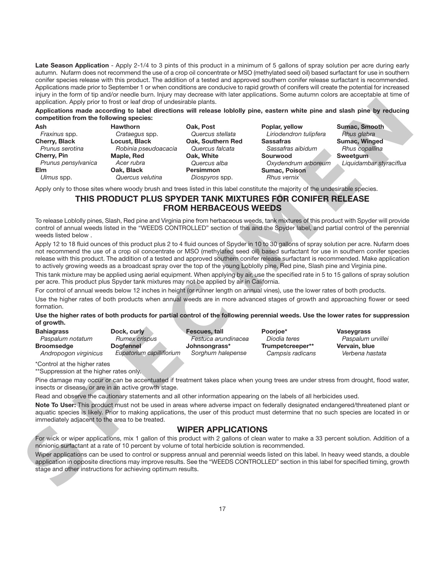Late Season Application - Apply 2-1/4 to 3 pints of this product in a minimum of 5 gallons of spray solution per acre during early autumn. Nufarm does not recommend the use of a crop oil concentrate or MSO (methylated seed oil) based surfactant for use in southern conifer species release with this product. The addition of a tested and approved southern conifer release surfactant is recommended. Applications made prior to September 1 or when conditions are conducive to rapid growth of conifers will create the potential for increased injury in the form of tip and/or needle burn. Injury may decrease with later applications. Some autumn colors are acceptable at time of application. Apply prior to frost or leaf drop of undesirable plants.

|                                                                                                                     | competition from the following species:                                                                                                                                       |                                                                                                                                           |                                                                                                                                                      | Applications made according to label directions will release loblolly pine, eastern white pine and slash pine by reducing                                                                                                                                                                                                                                                                                                       |
|---------------------------------------------------------------------------------------------------------------------|-------------------------------------------------------------------------------------------------------------------------------------------------------------------------------|-------------------------------------------------------------------------------------------------------------------------------------------|------------------------------------------------------------------------------------------------------------------------------------------------------|---------------------------------------------------------------------------------------------------------------------------------------------------------------------------------------------------------------------------------------------------------------------------------------------------------------------------------------------------------------------------------------------------------------------------------|
| Ash<br>Fraxinus spp.<br>Cherry, Black<br>Prunus serotina<br>Cherry, Pin<br>Prunus pensylvanica<br>Elm<br>Ulmus spp. | <b>Hawthorn</b><br>Crataegus spp.<br>Locust, Black<br>Robinia pseudoacacia<br>Maple, Red<br>Acer rubra<br>Oak, Black<br>Quercus velutina                                      | Oak, Post<br>Quercus stellata<br>Oak, Southern Red<br>Quercus falcata<br>Oak, White<br>Quercus alba<br><b>Persimmon</b><br>Diospyros spp. | Poplar, yellow<br>Liriodendron tulipfera<br><b>Sassafras</b><br>Sassafras aibidum<br>Sourwood<br>Oxydendrum arboreum<br>Sumac, Poison<br>Rhus vernix | Sumac, Smooth<br>Rhus glabra<br>Sumac, Winged<br>Rhus copallina<br><b>Sweetgum</b><br>Liquidambar styraciflua                                                                                                                                                                                                                                                                                                                   |
|                                                                                                                     | Apply only to those sites where woody brush and trees listed in this label constitute the majority of the undesirable species.                                                |                                                                                                                                           |                                                                                                                                                      |                                                                                                                                                                                                                                                                                                                                                                                                                                 |
|                                                                                                                     | THIS PRODUCT PLUS SPYDER TANK MIXTURES FOR CONIFER RELEASE                                                                                                                    | <b>FROM HERBACEOUS WEEDS</b>                                                                                                              |                                                                                                                                                      |                                                                                                                                                                                                                                                                                                                                                                                                                                 |
| weeds listed below.                                                                                                 |                                                                                                                                                                               |                                                                                                                                           |                                                                                                                                                      | To release Loblolly pines, Slash, Red pine and Virginia pine from herbaceous weeds, tank mixtures of this product with Spyder will provide<br>control of annual weeds listed in the "WEEDS CONTROLLED" section of this and the Spyder label, and partial control of the perennial<br>Apply 12 to 18 fluid ounces of this product plus 2 to 4 fluid ounces of Spyder in 10 to 30 gallons of spray solution per acre. Nufarm does |
|                                                                                                                     | to actively growing weeds as a broadcast spray over the top of the young Loblolly pine, Red pine, Slash pine and Virginia pine.                                               |                                                                                                                                           |                                                                                                                                                      | not recommend the use of a crop oil concentrate or MSO (methylated seed oil) based surfactant for use in southern conifer species<br>release with this product. The addition of a tested and approved southern conifer release surfactant is recommended. Make application                                                                                                                                                      |
|                                                                                                                     | per acre. This product plus Spyder tank mixtures may not be applied by air in California.                                                                                     |                                                                                                                                           |                                                                                                                                                      | This tank mixture may be applied using aerial equipment. When applying by air, use the specified rate in 5 to 15 gallons of spray solution                                                                                                                                                                                                                                                                                      |
|                                                                                                                     |                                                                                                                                                                               |                                                                                                                                           |                                                                                                                                                      |                                                                                                                                                                                                                                                                                                                                                                                                                                 |
|                                                                                                                     | For control of annual weeds below 12 inches in height (or runner length on annual vines), use the lower rates of both products.                                               |                                                                                                                                           |                                                                                                                                                      |                                                                                                                                                                                                                                                                                                                                                                                                                                 |
| formation.                                                                                                          |                                                                                                                                                                               |                                                                                                                                           |                                                                                                                                                      | Use the higher rates of both products when annual weeds are in more advanced stages of growth and approaching flower or seed                                                                                                                                                                                                                                                                                                    |
|                                                                                                                     |                                                                                                                                                                               |                                                                                                                                           |                                                                                                                                                      | Use the higher rates of both products for partial control of the following perennial weeds. Use the lower rates for suppression                                                                                                                                                                                                                                                                                                 |
| of growth.<br><b>Bahiagrass</b><br>Paspalum notatum<br><b>Broomsedge</b><br>Andropogon virginicus                   | Dock, curly<br>Rumex crispus<br><b>Dogfennel</b><br>Eupatorium capilliflorium                                                                                                 | Fescues, tall<br>Festuca arundinacea<br>Johnsongrass*<br>Sorghum halepense                                                                | Poorjoe*<br>Diodia teres<br>Trumpetcreeper**<br>Campsis radicans                                                                                     | <b>Vaseygrass</b><br>Paspalum urvillei<br>Vervain, blue<br>Verbena hastata                                                                                                                                                                                                                                                                                                                                                      |
| *Control at the higher rates<br>**Suppression at the higher rates only.                                             |                                                                                                                                                                               |                                                                                                                                           |                                                                                                                                                      |                                                                                                                                                                                                                                                                                                                                                                                                                                 |
|                                                                                                                     |                                                                                                                                                                               |                                                                                                                                           |                                                                                                                                                      | Pine damage may occur or can be accentuated if treatment takes place when young trees are under stress from drought, flood water,                                                                                                                                                                                                                                                                                               |
|                                                                                                                     | insects or disease, or are in an active growth stage.<br>Read and observe the cautionary statements and all other information appearing on the labels of all herbicides used. |                                                                                                                                           |                                                                                                                                                      | Note To User: This product must not be used in areas where adverse impact on federally designated endangered/threatened plant or<br>aquatic species is likely. Prior to making applications, the user of this product must determine that no such species are located in or                                                                                                                                                     |
| immediately adjacent to the area to be treated.                                                                     |                                                                                                                                                                               |                                                                                                                                           |                                                                                                                                                      |                                                                                                                                                                                                                                                                                                                                                                                                                                 |
|                                                                                                                     | nonionic surfactant at a rate of 10 percent by volume of total herbicide solution is recommended.                                                                             | <b>WIPER APPLICATIONS</b>                                                                                                                 |                                                                                                                                                      | For wick or wiper applications, mix 1 gallon of this product with 2 gallons of clean water to make a 33 percent solution. Addition of a                                                                                                                                                                                                                                                                                         |

# **THIS PRODUCT PLUS SPYDER TANK MIXTURES FOR CONIFER RELEASE FROM HERBACEOUS WEEDS**

#### **Use the higher rates of both products for partial control of the following perennial weeds. Use the lower rates for suppression of growth.**

| <b>Bahiagrass</b>     | Dock, curly               | Fescues, tall       | Poorioe*         | <b>Vaseygrass</b> |
|-----------------------|---------------------------|---------------------|------------------|-------------------|
| Paspalum notatum      | Rumex crispus             | Festuca arundinacea | Diodia teres     | Paspalum urvillei |
| <b>Broomsedge</b>     | Dogfennel                 | Johnsongrass*       | Trumpetcreeper** | Vervain, blue     |
| Andropogon virginicus | Eupatorium capilliflorium | Sorghum halepense   | Campsis radicans | Verbena hastata   |

#### **WIPER APPLICATIONS**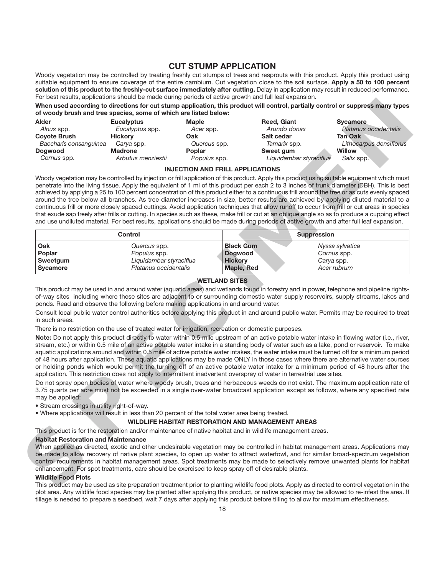# **CUT STUMP APPLICATION**

Woody vegetation may be controlled by treating freshly cut stumps of trees and resprouts with this product. Apply this product using suitable equipment to ensure coverage of the entire cambium. Cut vegetation close to the soil surface. **Apply a 50 to 100 percent solution of this product to the freshly-cut surface immediately after cutting.** Delay in application may result in reduced performance. For best results, applications should be made during periods of active growth and full leaf expansion.

**When used according to directions for cut stump application, this product will control, partially control or suppress many types of woody brush and tree species, some of which are listed below:**

| <b>Alder</b>           | <b>Eucalyptus</b>  | <b>Maple</b>  | Reed, Giant             | <b>Sycamore</b>         |
|------------------------|--------------------|---------------|-------------------------|-------------------------|
| Alnus spp.             | Eucalyptus spp.    | Acer spp.     | Arundo donax            | Platanus occidentalis   |
| <b>Coyote Brush</b>    | <b>Hickory</b>     | Oak           | Salt cedar              | <b>Tan Oak</b>          |
| Baccharis consanguinea | Carva spp.         | Quercus spp.  | Tamarix spp.            | Lithocarpus densiflorus |
| <b>Dogwood</b>         | <b>Madrone</b>     | <b>Poplar</b> | Sweet gum               | <b>Willow</b>           |
| Cornus spp.            | Arbutus menziestii | Populus spp.  | Liquidambar styraciflua | Salix spp.              |

#### **INJECTION AND FRILL APPLICATIONS**

Woody vegetation may be controlled by injection or frill application of this product. Apply this product using suitable equipment which must penetrate into the living tissue. Apply the equivalent of 1 ml of this product per each 2 to 3 inches of trunk diameter (DBH). This is best achieved by applying a 25 to 100 percent concentration of this product either to a continuous frill around the tree or as cuts evenly spaced around the tree below all branches. As tree diameter increases in size, better results are achieved by applying diluted material to a continuous frill or more closely spaced cuttings. Avoid application techniques that allow runoff to occur from frill or cut areas in species that exude sap freely after frills or cutting. In species such as these, make frill or cut at an oblique angle so as to produce a cupping effect and use undiluted material. For best results, applications should be made during periods of active growth and after full leaf expansion. For the the control of the total of the state of the state of the state of the state of the state of the state of the state of the state of the state of the state of the state of the state of the state of the state of the

|                 | Control                 |                  | <b>Suppression</b> |
|-----------------|-------------------------|------------------|--------------------|
| Oak             | Quercus spp.            | <b>Black Gum</b> | Nyssa sylvatica    |
| Poplar          | Populus spp.            | <b>Dogwood</b>   | Cornus spp.        |
| <b>Sweetgum</b> | Liquidambar styraciflua | <b>Hickory</b>   | Carya spp.         |
| <b>Sycamore</b> | Platanus occidentalis   | Maple, Red       | Acer rubrum        |

#### **WETLAND SITES**

This product may be used in and around water (aquatic areas) and wetlands found in forestry and in power, telephone and pipeline rightsof-way sites including where these sites are adjacent to or surrounding domestic water supply reservoirs, supply streams, lakes and ponds. Read and observe the following before making applications in and around water.

Consult local public water control authorities before applying this product in and around public water. Permits may be required to treat in such areas.

There is no restriction on the use of treated water for irrigation, recreation or domestic purposes.

**Note:** Do not apply this product directly to water within 0.5 mile upstream of an active potable water intake in flowing water (i.e., river, stream, etc.) or within 0.5 mile of an active potable water intake in a standing body of water such as a lake, pond or reservoir. To make aquatic applications around and within 0.5 mile of active potable water intakes, the water intake must be turned off for a minimum period of 48 hours after application. These aquatic applications may be made ONLY in those cases where there are alternative water sources or holding ponds which would permit the turning off of an active potable water intake for a minimum period of 48 hours after the application. This restriction does not apply to intermittent inadvertent overspray of water in terrestrial use sites.

Do not spray open bodies of water where woody brush, trees and herbaceous weeds do not exist. The maximum application rate of 3.75 quarts per acre must not be exceeded in a single over-water broadcast application except as follows, where any specified rate may be applied:

• Stream crossings in utility right-of-way.

• Where applications will result in less than 20 percent of the total water area being treated.

#### **WILDLIFE HABITAT RESTORATION AND MANAGEMENT AREAS**

This product is for the restoration and/or maintenance of native habitat and in wildlife management areas.

#### **Habitat Restoration and Maintenance**

When applied as directed, exotic and other undesirable vegetation may be controlled in habitat management areas. Applications may be made to allow recovery of native plant species, to open up water to attract waterfowl, and for similar broad-spectrum vegetation control requirements in habitat management areas. Spot treatments may be made to selectively remove unwanted plants for habitat enhancement. For spot treatments, care should be exercised to keep spray off of desirable plants.

#### **Wildlife Food Plots**

This product may be used as site preparation treatment prior to planting wildlife food plots. Apply as directed to control vegetation in the plot area. Any wildlife food species may be planted after applying this product, or native species may be allowed to re-infest the area. If tillage is needed to prepare a seedbed, wait 7 days after applying this product before tilling to allow for maximum effectiveness.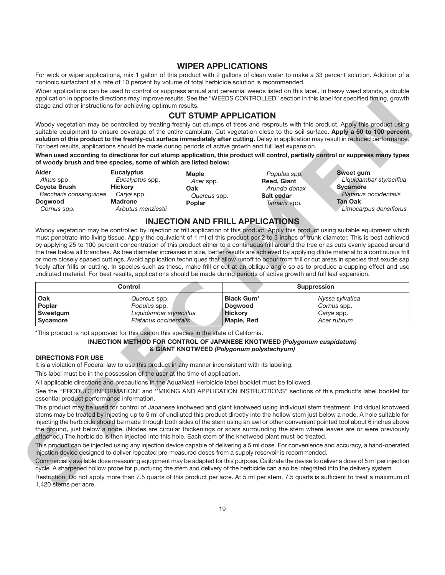#### **WIPER APPLICATIONS**

For wick or wiper applications, mix 1 gallon of this product with 2 gallons of clean water to make a 33 percent solution. Addition of a nonionic surfactant at a rate of 10 percent by volume of total herbicide solution is recommended.

Wiper applications can be used to control or suppress annual and perennial weeds listed on this label. In heavy weed stands, a double application in opposite directions may improve results. See the "WEEDS CONTROLLED" section in this label for specified timing, growth stage and other instructions for achieving optimum results.

# **CUT STUMP APPLICATION**

Woody vegetation may be controlled by treating freshly cut stumps of trees and resprouts with this product. Apply this product using suitable equipment to ensure coverage of the entire cambium. Cut vegetation close to the soil surface. **Apply a 50 to 100 percent solution of this product to the freshly-cut surface immediately after cutting.** Delay in application may result in reduced performance. For best results, applications should be made during periods of active growth and full leaf expansion.

**When used according to directions for cut stump application, this product will control, partially control or suppress many types of woody brush and tree species, some of which are listed below:**

| Alder<br>Alnus spp.<br><b>Coyote Brush</b><br>Baccharis consanguinea<br><b>Dogwood</b><br>Cornus spp. | <b>Eucalyptus</b><br>Eucalyptus spp.<br><b>Hickory</b><br>Carya spp.<br><b>Madrone</b><br>Arbutus menziestii | <b>Maple</b><br>Acer spp.<br>Oak<br>Quercus spp.<br><b>Poplar</b> | Populus spp.<br>Reed, Giant<br>Arundo donax<br>Salt cedar<br>Tamarix spp. | Sweet gum<br>Liquidambar styraciflua<br>Sycamore<br>Platanus occidentalis<br><b>Tan Oak</b><br>Lithocarpus densiflorus |
|-------------------------------------------------------------------------------------------------------|--------------------------------------------------------------------------------------------------------------|-------------------------------------------------------------------|---------------------------------------------------------------------------|------------------------------------------------------------------------------------------------------------------------|
|-------------------------------------------------------------------------------------------------------|--------------------------------------------------------------------------------------------------------------|-------------------------------------------------------------------|---------------------------------------------------------------------------|------------------------------------------------------------------------------------------------------------------------|

# **INJECTION AND FRILL APPLICATIONS**

Woody vegetation may be controlled by injection or frill application of this product. Apply this product using suitable equipment which must penetrate into living tissue. Apply the equivalent of 1 ml of this product per 2 to 3 inches of trunk diameter. This is best achieved by applying 25 to 100 percent concentration of this product either to a continuous frill around the tree or as cuts evenly spaced around the tree below all branches. As tree diameter increases in size, better results are achieved by applying dilute material to a continuous frill or more closely spaced cuttings. Avoid application techniques that allow runoff to occur from frill or cut areas in species that exude sap freely after frills or cutting. In species such as these, make frill or cut at an oblique angle so as to produce a cupping effect and use undiluted material. For best results, applications should be made during periods of active growth and full leaf expansion. specialized transferance and the special field for the special field for the special field for the special field for the specialized transfer in the special field for the special field for the special field for the specia

|                 | Control                 |                   | <b>Suppression</b> |
|-----------------|-------------------------|-------------------|--------------------|
| Oak             | Quercus spp.            | <b>Black Gum*</b> | Nyssa sylvatica    |
| Poplar          | Populus spp.            | <b>Dogwood</b>    | Cornus spp.        |
| Sweetgum        | Liquidambar styraciflua | <b>Hickory</b>    | Carya spp.         |
| <b>Svcamore</b> | Platanus occidentalis   | Maple, Red        | Acer rubrum        |

\*This product is not approved for this use on this species in the state of California.

#### **INJECTION METHOD FOR CONTROL OF JAPANESE KNOTWEED** *(Polygonum cuspidatum)* **& GIANT KNOTWEED** *(Polygonum polystachyum)*

#### **DIRECTIONS FOR USE**

It is a violation of Federal law to use this product in any manner inconsistent with its labeling.

This label must be in the possession of the user at the time of application.

All applicable directions and precautions in the AquaNeat Herbicide label booklet must be followed.

See the ''PRODUCT INFORMATION'' and ''MIXING AND APPLICATION INSTRUCTIONS" sections of this product's label booklet for essential product performance information.

This product may be used for control of Japanese knotweed and giant knotweed using individual stem treatment. Individual knotweed stems may be treated by injecting up to 5 ml of undiluted this product directly into the hollow stem just below a node. A hole suitable for injecting the herbicide should be made through both sides of the stem using an awl or other convenient pointed tool about 6 inches above the ground, just below a node. (Nodes are circular thickenings or scars surrounding the stem where leaves are or were previously attached.) The herbicide is then injected into this hole. Each stem of the knotweed plant must be treated.

This product can be injected using any injection device capable of delivering a 5 ml dose. For convenience and accuracy, a hand-operated injection device designed to deliver repeated pre-measured doses from a supply reservoir is recommended.

Commercially available dose measuring equipment may be adapted for this purpose. Calibrate the devise to deliver a dose of 5 ml per injection cycle. A sharpened hollow probe for puncturing the stem and delivery of the herbicide can also be integrated into the delivery system.

Restriction: Do not apply more than 7.5 quarts of this product per acre. At 5 ml per stem, 7.5 quarts is sufficient to treat a maximum of 1,420 stems per acre.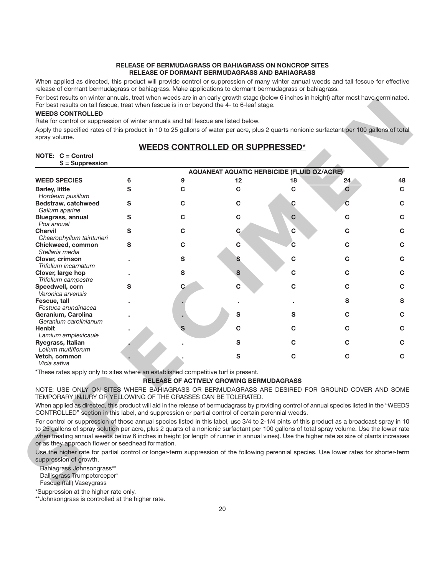#### **RELEASE OF BERMUDAGRASS OR BAHIAGRASS ON NONCROP SITES RELEASE OF DORMANT BERMUDAGRASS AND BAHIAGRASS**

When applied as directed, this product will provide control or suppression of many winter annual weeds and tall fescue for effective release of dormant bermudagrass or bahiagrass. Make applications to dormant bermudagrass or bahiagrass.

For best results on winter annuals, treat when weeds are in an early growth stage (below 6 inches in height) after most have germinated. For best results on tall fescue, treat when fescue is in or beyond the 4- to 6-leaf stage.

#### **WEEDS CONTROLLED**

# **WEEDS CONTROLLED OR SUPPRESSED\***

#### **NOTE: C = Control S = Suppression**

| Apply the specified rates of this product in 10 to 25 gallons of water per acre, plus 2 quarts nonionic surfactant per 100 gallons of total<br>spray volume.                                                                                                                             |   |                                                 |                                                   |              |             |             |
|------------------------------------------------------------------------------------------------------------------------------------------------------------------------------------------------------------------------------------------------------------------------------------------|---|-------------------------------------------------|---------------------------------------------------|--------------|-------------|-------------|
|                                                                                                                                                                                                                                                                                          |   |                                                 |                                                   |              |             |             |
|                                                                                                                                                                                                                                                                                          |   | <b>WEEDS CONTROLLED OR SUPPRESSED*</b>          |                                                   |              |             |             |
| NOTE: C = Control<br>S = Suppression                                                                                                                                                                                                                                                     |   |                                                 |                                                   |              |             |             |
|                                                                                                                                                                                                                                                                                          |   |                                                 |                                                   |              |             |             |
|                                                                                                                                                                                                                                                                                          |   |                                                 | <b>AQUANEAT AQUATIC HERBICIDE (FLUID OZ/ACRE)</b> |              |             |             |
| <b>WEED SPECIES</b>                                                                                                                                                                                                                                                                      | 6 | 9                                               | 12                                                | 18           | 24          | 48          |
| <b>Barley, little</b>                                                                                                                                                                                                                                                                    | S | $\mathbf C$                                     | $\mathbf c$                                       | $\mathbf{C}$ | $\mathbf c$ | $\mathbf c$ |
| Hordeum pusillum                                                                                                                                                                                                                                                                         |   |                                                 | $\mathbf C$                                       |              | C           |             |
| Bedstraw, catchweed<br>Galium aparine                                                                                                                                                                                                                                                    | S | $\mathbf c$                                     |                                                   | C            |             | C           |
| <b>Bluegrass, annual</b>                                                                                                                                                                                                                                                                 | S | $\mathbf C$                                     | $\mathbf C$                                       | C            | C           | C           |
| Poa annual                                                                                                                                                                                                                                                                               |   |                                                 |                                                   |              |             |             |
| <b>Chervil</b>                                                                                                                                                                                                                                                                           | S | $\mathbf c$                                     | $\mathbf C$                                       | C            | C           | C           |
| Chaerophyllum tainturieri                                                                                                                                                                                                                                                                |   |                                                 |                                                   |              |             |             |
| Chickweed, common                                                                                                                                                                                                                                                                        | S | $\mathbf c$                                     | $\mathbf c$                                       | C            | C           | C           |
| Stellaria media                                                                                                                                                                                                                                                                          |   |                                                 |                                                   |              |             |             |
| Clover, crimson                                                                                                                                                                                                                                                                          |   | S                                               | S                                                 | C            | C           | C           |
| Trifolium incarnatum                                                                                                                                                                                                                                                                     |   | S                                               | S                                                 | С            | C           | C           |
| Clover, large hop<br>Trifolium campestre                                                                                                                                                                                                                                                 |   |                                                 |                                                   |              |             |             |
| Speedwell, corn                                                                                                                                                                                                                                                                          | S | C.                                              | $\mathbf C$                                       | C            | С           | C           |
| Veronica arvensis                                                                                                                                                                                                                                                                        |   |                                                 |                                                   |              |             |             |
| Fescue, tall                                                                                                                                                                                                                                                                             |   |                                                 |                                                   |              | S           | S           |
| Festuca arundinacea                                                                                                                                                                                                                                                                      |   |                                                 |                                                   |              |             |             |
| Geranium, Carolina                                                                                                                                                                                                                                                                       |   |                                                 | S                                                 | S            | C           | C           |
| Geranium carolinianum                                                                                                                                                                                                                                                                    |   |                                                 |                                                   |              |             |             |
| <b>Henbit</b>                                                                                                                                                                                                                                                                            |   | S                                               | $\mathbf C$                                       | C            | С           | C           |
| Lamium amplexicaule                                                                                                                                                                                                                                                                      |   |                                                 |                                                   |              |             |             |
| Ryegrass, Italian<br>Lolium multiflorum                                                                                                                                                                                                                                                  |   |                                                 | S                                                 | C            | C           | C           |
| Vetch, common                                                                                                                                                                                                                                                                            |   |                                                 | ${\bf S}$                                         | С            | C           | C           |
| Vicia sativa                                                                                                                                                                                                                                                                             |   |                                                 |                                                   |              |             |             |
| *These rates apply only to sites where an established competitive turf is present.                                                                                                                                                                                                       |   |                                                 |                                                   |              |             |             |
|                                                                                                                                                                                                                                                                                          |   | <b>RELEASE OF ACTIVELY GROWING BERMUDAGRASS</b> |                                                   |              |             |             |
|                                                                                                                                                                                                                                                                                          |   |                                                 |                                                   |              |             |             |
| NOTE: USE ONLY ON SITES WHERE BAHIAGRASS OR BERMUDAGRASS ARE DESIRED FOR GROUND COVER AND SOME<br>TEMPORARY INJURY OR YELLOWING OF THE GRASSES CAN BE TOLERATED.                                                                                                                         |   |                                                 |                                                   |              |             |             |
|                                                                                                                                                                                                                                                                                          |   |                                                 |                                                   |              |             |             |
| When applied as directed, this product will aid in the release of bermudagrass by providing control of annual species listed in the "WEEDS<br>CONTROLLED" section in this label, and suppression or partial control of certain perennial weeds.                                          |   |                                                 |                                                   |              |             |             |
|                                                                                                                                                                                                                                                                                          |   |                                                 |                                                   |              |             |             |
| For control or suppression of those annual species listed in this label, use 3/4 to 2-1/4 pints of this product as a broadcast spray in 10                                                                                                                                               |   |                                                 |                                                   |              |             |             |
| to 25 gallons of spray solution per acre, plus 2 quarts of a nonionic surfactant per 100 gallons of total spray volume. Use the lower rate<br>when treating annual weeds below 6 inches in height (or length of runner in annual vines). Use the higher rate as size of plants increases |   |                                                 |                                                   |              |             |             |
| or as they approach flower or seedhead formation.                                                                                                                                                                                                                                        |   |                                                 |                                                   |              |             |             |
|                                                                                                                                                                                                                                                                                          |   |                                                 |                                                   |              |             |             |
| Use the higher rate for partial control or longer-term suppression of the following perennial species. Use lower rates for shorter-term<br>suppression of growth.                                                                                                                        |   |                                                 |                                                   |              |             |             |
|                                                                                                                                                                                                                                                                                          |   |                                                 |                                                   |              |             |             |
| Bahiagrass Johnsongrass**                                                                                                                                                                                                                                                                |   |                                                 |                                                   |              |             |             |
| Dallisgrass Trumpetcreeper*                                                                                                                                                                                                                                                              |   |                                                 |                                                   |              |             |             |
| Fescue (tall) Vaseygrass                                                                                                                                                                                                                                                                 |   |                                                 |                                                   |              |             |             |

#### **RELEASE OF ACTIVELY GROWING BERMUDAGRASS**

\*Suppression at the higher rate only.

\*\*Johnsongrass is controlled at the higher rate.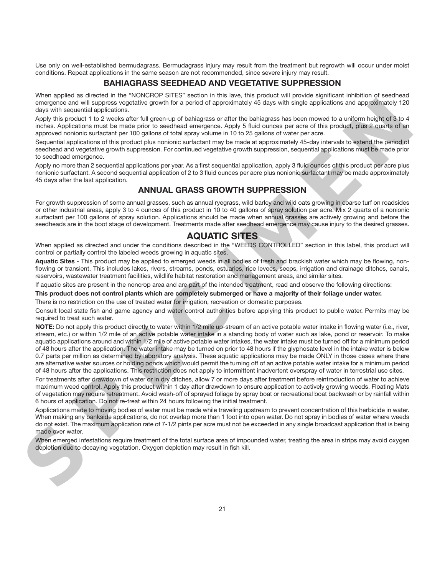Use only on well-established bermudagrass. Bermudagrass injury may result from the treatment but regrowth will occur under moist conditions. Repeat applications in the same season are not recommended, since severe injury may result.

# **BAHIAGRASS SEEDHEAD AND VEGETATIVE SUPPRESSION**

When applied as directed in the "NONCROP SITES" section in this lave, this product will provide significant inhibition of seedhead emergence and will suppress vegetative growth for a period of approximately 45 days with single applications and approximately 120 days with sequential applications.

Apply this product 1 to 2 weeks after full green-up of bahiagrass or after the bahiagrass has been mowed to a uniform height of 3 to 4 inches. Applications must be made prior to seedhead emergence. Apply 5 fluid ounces per acre of this product, plus 2 quarts of an approved nonionic surfactant per 100 gallons of total spray volume in 10 to 25 gallons of water per acre.

Sequential applications of this product plus nonionic surfactant may be made at approximately 45-day intervals to extend the period of seedhead and vegetative growth suppression. For continued vegetative growth suppression, sequential applications must be made prior to seedhead emergence.

Apply no more than 2 sequential applications per year. As a first sequential application, apply 3 fluid ounces of this product per acre plus nonionic surfactant. A second sequential application of 2 to 3 fluid ounces per acre plus nonionic surfactant may be made approximately 45 days after the last application.

# **ANNUAL GRASS GROWTH SUPPRESSION**

For growth suppression of some annual grasses, such as annual ryegrass, wild barley and wild oats growing in coarse turf on roadsides or other industrial areas, apply 3 to 4 ounces of this product in 10 to 40 gallons of spray solution per acre. Mix 2 quarts of a nonionic surfactant per 100 gallons of spray solution. Applications should be made when annual grasses are actively growing and before the seedheads are in the boot stage of development. Treatments made after seedhead emergence may cause injury to the desired grasses.

# **AQUATIC SITES**

When applied as directed and under the conditions described in the "WEEDS CONTROLLED" section in this label, this product will control or partially control the labeled weeds growing in aquatic sites.

**Aquatic Sites** - This product may be applied to emerged weeds in all bodies of fresh and brackish water which may be flowing, nonflowing or transient. This includes lakes, rivers, streams, ponds, estuaries, rice levees, seeps, irrigation and drainage ditches, canals, reservoirs, wastewater treatment facilities, wildlife habitat restoration and management areas, and similar sites.

If aquatic sites are present in the noncrop area and are part of the intended treatment, read and observe the following directions:

#### **This product does not control plants which are completely submerged or have a majority of their foliage under water.**

There is no restriction on the use of treated water for irrigation, recreation or domestic purposes.

Consult local state fish and game agency and water control authorities before applying this product to public water. Permits may be required to treat such water.

**NOTE:** Do not apply this product directly to water within 1/2 mile up-stream of an active potable water intake in flowing water (i.e., river, stream, etc.) or within 1/2 mile of an active potable water intake in a standing body of water such as lake, pond or reservoir. To make aquatic applications around and within 1/2 mile of active potable water intakes, the water intake must be turned off for a minimum period of 48 hours after the application. The water intake may be turned on prior to 48 hours if the glyphosate level in the intake water is below 0.7 parts per million as determined by laboratory analysis. These aquatic applications may be made ONLY in those cases where there are alternative water sources or holding ponds which would permit the turning off of an active potable water intake for a minimum period of 48 hours after the applications. This restriction does not apply to intermittent inadvertent overspray of water in terrestrial use sites. something of the second specific the second and continue and continue and and continue and and continue and continue and continue and continue and continue and continue and continue and continue and continue and continue a

For treatments after drawdown of water or in dry ditches, allow 7 or more days after treatment before reintroduction of water to achieve maximum weed control. Apply this product within 1 day after drawdown to ensure application to actively growing weeds. Floating Mats of vegetation may require retreatment. Avoid wash-off of sprayed foliage by spray boat or recreational boat backwash or by rainfall within 6 hours of application. Do not re-treat within 24 hours following the initial treatment.

Applications made to moving bodies of water must be made while traveling upstream to prevent concentration of this herbicide in water. When making any bankside applications, do not overlap more than 1 foot into open water. Do not spray in bodies of water where weeds do not exist. The maximum application rate of 7-1/2 pints per acre must not be exceeded in any single broadcast application that is being made over water.

When emerged infestations require treatment of the total surface area of impounded water, treating the area in strips may avoid oxygen depletion due to decaying vegetation. Oxygen depletion may result in fish kill.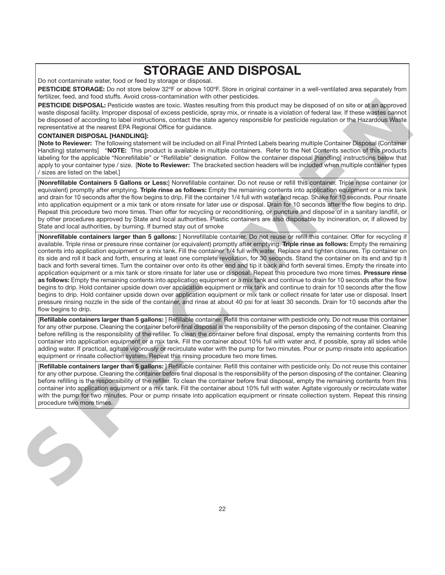# **STORAGE AND DISPOSAL**

Do not contaminate water, food or feed by storage or disposal.

**PESTICIDE STORAGE:** Do not store below 32ºF or above 100ºF. Store in original container in a well-ventilated area separately from fertilizer, feed, and food stuffs. Avoid cross-contamination with other pesticides.

**PESTICIDE DISPOSAL:** Pesticide wastes are toxic. Wastes resulting from this product may be disposed of on site or at an approved waste disposal facility. Improper disposal of excess pesticide, spray mix, or rinsate is a violation of federal law. If these wastes cannot be disposed of according to label instructions, contact the state agency responsible for pesticide regulation or the Hazardous Waste representative at the nearest EPA Regional Office for guidance.

#### **CONTAINER DISPOSAL [HANDLING]:**

[**Note to Reviewer:** The following statement will be included on all Final Printed Labels bearing multiple Container Disposal (Container Handling) statements] "**NOTE:** This product is available in multiple containers. Refer to the Net Contents section of this products labeling for the applicable "Nonrefillable" or "Refillable" designation. Follow the container disposal [handling] instructions below that apply to your container type / size. [**Note to Reviewer:** The bracketed section headers will be included when multiple container types / sizes are listed on the label.]

[**Nonrefillable Containers 5 Gallons or Less:**] Nonrefillable container. Do not reuse or refill this container. Triple rinse container (or equivalent) promptly after emptying. **Triple rinse as follows:** Empty the remaining contents into application equipment or a mix tank and drain for 10 seconds after the flow begins to drip. Fill the container 1/4 full with water and recap. Shake for 10 seconds. Pour rinsate into application equipment or a mix tank or store rinsate for later use or disposal. Drain for 10 seconds after the flow begins to drip. Repeat this procedure two more times. Then offer for recycling or reconditioning, or puncture and dispose of in a sanitary landfill, or by other procedures approved by State and local authorities. Plastic containers are also disposable by incineration, or, if allowed by State and local authorities, by burning. If burned stay out of smoke

[**Nonrefillable containers larger than 5 gallons:** ] Nonrefillable container. Do not reuse or refill this container. Offer for recycling if available. Triple rinse or pressure rinse container (or equivalent) promptly after emptying. Triple rinse as follows: Empty the remaining contents into application equipment or a mix tank. Fill the container 1/4 full with water. Replace and tighten closures. Tip container on its side and roll it back and forth, ensuring at least one complete revolution, for 30 seconds. Stand the container on its end and tip it back and forth several times. Turn the container over onto its other end and tip it back and forth several times. Empty the rinsate into application equipment or a mix tank or store rinsate for later use or disposal. Repeat this procedure two more times. **Pressure rinse as follows:** Empty the remaining contents into application equipment or a mix tank and continue to drain for 10 seconds after the flow begins to drip. Hold container upside down over application equipment or mix tank and continue to drain for 10 seconds after the flow begins to drip. Hold container upside down over application equipment or mix tank or collect rinsate for later use or disposal. Insert pressure rinsing nozzle in the side of the container, and rinse at about 40 psi for at least 30 seconds. Drain for 10 seconds after the flow begins to drip. website the state of the state of the state of the state of the state of the state of the state of the state of the state of the state of the state of the state of the state of the state of the state of the state of the s

[**Refillable containers larger than 5 gallons:** ] Refillable container. Refill this container with pesticide only. Do not reuse this container for any other purpose. Cleaning the container before final disposal is the responsibility of the person disposing of the container. Cleaning before refilling is the responsibility of the refiller. To clean the container before final disposal, empty the remaining contents from this container into application equipment or a mix tank. Fill the container about 10% full with water and, if possible, spray all sides while adding water. If practical, agitate vigorously or recirculate water with the pump for two minutes. Pour or pump rinsate into application equipment or rinsate collection system. Repeat this rinsing procedure two more times.

[**Refillable containers larger than 5 gallons:** ] Refillable container. Refill this container with pesticide only. Do not reuse this container for any other purpose. Cleaning the container before final disposal is the responsibility of the person disposing of the container. Cleaning before refilling is the responsibility of the refiller. To clean the container before final disposal, empty the remaining contents from this container into application equipment or a mix tank. Fill the container about 10% full with water. Agitate vigorously or recirculate water with the pump for two minutes. Pour or pump rinsate into application equipment or rinsate collection system. Repeat this rinsing procedure two more times.